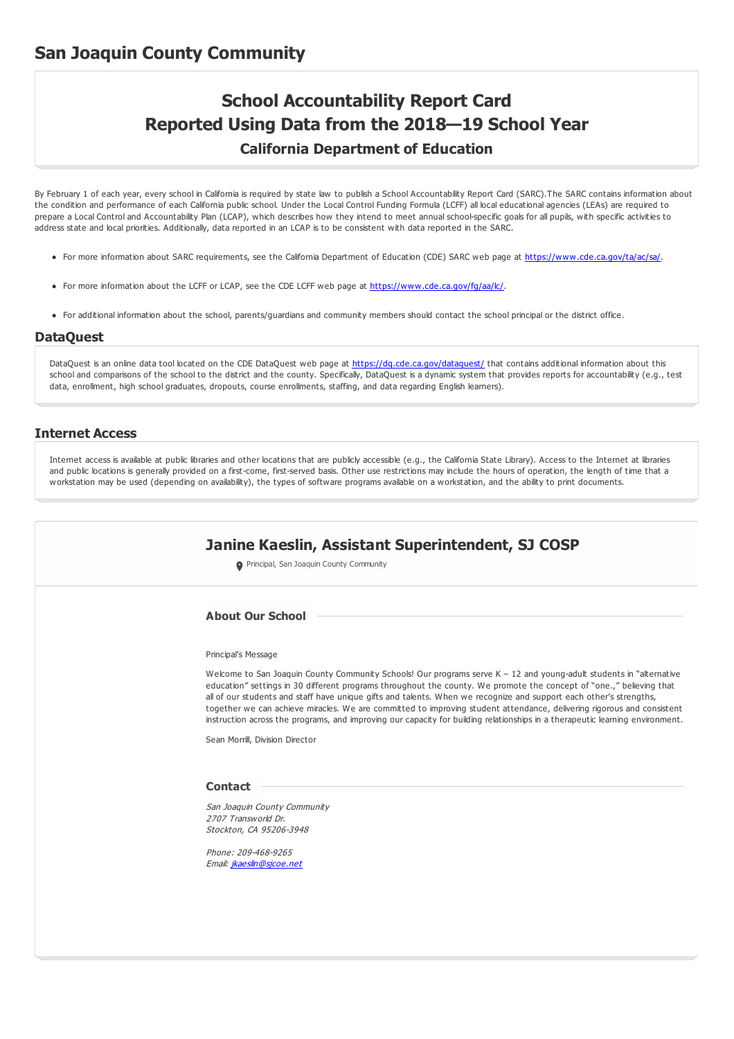# **School Accountability Report Card Reported Using Data from the 2018—19 School Year California Department of Education**

By February 1 of each year, every school in California is required by state law to publish a School Accountability Report Card (SARC).The SARC contains information about the condition and performance of each California public school. Under the Local Control Funding Formula (LCFF) all local educational agencies (LEAs) are required to prepare a Local Control and Accountability Plan (LCAP), which describes how they intend to meet annual school-specific goals for all pupils, with specific activities to address state and local priorities. Additionally, data reported in an LCAP is to be consistent with data reported in the SARC.

- For more information about SARC requirements, see the California Department of Education (CDE) SARC web page at <https://www.cde.ca.gov/ta/ac/sa/>.
- For more information about the LCFF or LCAP, see the CDE LCFF web page at <https://www.cde.ca.gov/fg/aa/lc/>.
- For additional information about the school, parents/guardians and community members should contact the school principal or the district office.

### **DataQuest**

DataQuest is an online data tool located on the CDE DataQuest web page at <https://dq.cde.ca.gov/dataquest/> that contains additional information about this school and comparisons of the school to the district and the county. Specifically, DataQuest is a dynamic system that provides reports for accountability (e.g., test data, enrollment, high school graduates, dropouts, course enrollments, staffing, and data regarding English learners).

### **Internet Access**

Internet access is available at public libraries and other locations that are publicly accessible (e.g., the California State Library). Access to the Internet at libraries and public locations is generally provided on a first-come, first-served basis. Other use restrictions may include the hours of operation, the length of time that a workstation may be used (depending on availability), the types of software programs available on a workstation, and the ability to print documents.

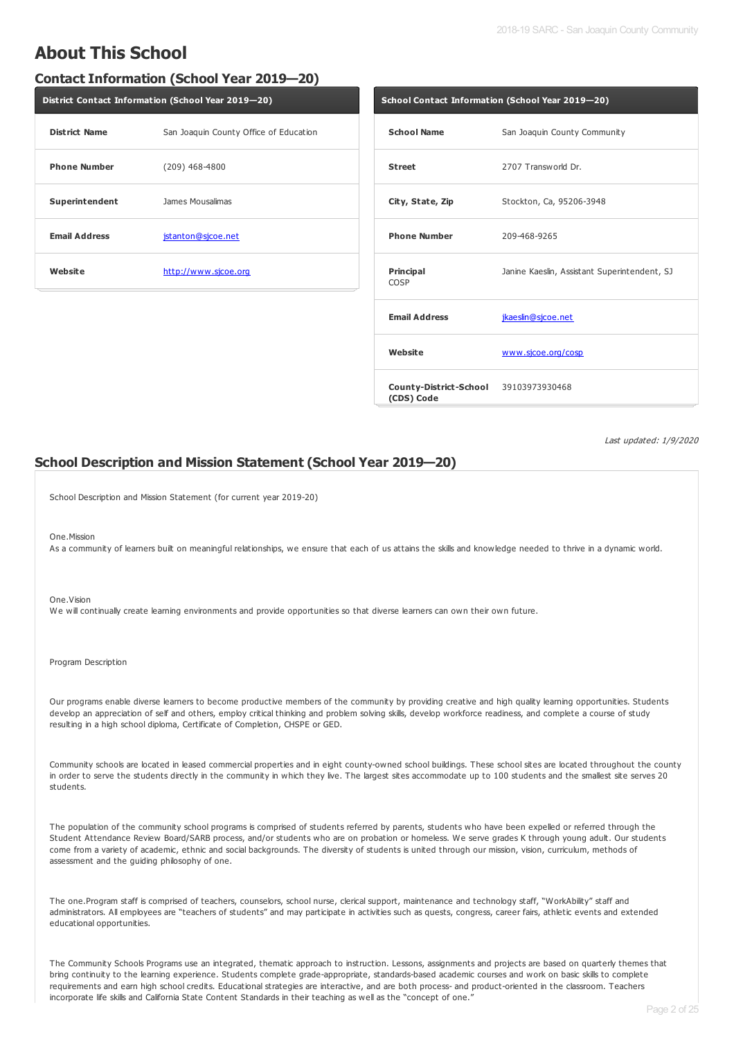## **About This School**

### **Contact Information (School Year 2019—20)**

| District Contact Information (School Year 2019-20) |                                        |  |  |  |
|----------------------------------------------------|----------------------------------------|--|--|--|
| <b>District Name</b>                               | San Joaquin County Office of Education |  |  |  |
| <b>Phone Number</b>                                | $(209)$ 468-4800                       |  |  |  |
| Superintendent                                     | James Mousalimas                       |  |  |  |
| <b>Email Address</b>                               | jstanton@sjcoe.net                     |  |  |  |
| Website                                            | http://www.sjcoe.org                   |  |  |  |

| School Contact Information (School Year 2019-20)    |                                              |  |  |  |
|-----------------------------------------------------|----------------------------------------------|--|--|--|
| <b>School Name</b>                                  | San Joaquin County Community                 |  |  |  |
| <b>Street</b>                                       | 2707 Transworld Dr.                          |  |  |  |
| City, State, Zip                                    | Stockton, Ca, 95206-3948                     |  |  |  |
| <b>Phone Number</b>                                 | 209-468-9265                                 |  |  |  |
| <b>Principal</b><br>COSP                            | Janine Kaeslin, Assistant Superintendent, SJ |  |  |  |
| <b>Email Address</b>                                | jkaeslin@sjcoe.net                           |  |  |  |
| Website                                             | www.sjcoe.org/cosp                           |  |  |  |
| County-District-School 39103973930468<br>(CDS) Code |                                              |  |  |  |

Last updated: 1/9/2020

### **School Description and Mission Statement (School Year 2019—20)**

School Description and Mission Statement (for current year 2019-20)

One.Mission

As a community of learners built on meaningful relationships, we ensure that each of us attains the skills and knowledge needed to thrive in a dynamic world.

One.Vision

We will continually create learning environments and provide opportunities so that diverse learners can own their own future.

Program Description

Our programs enable diverse learners to become productive members of the community by providing creative and high quality learning opportunities. Students develop an appreciation of self and others, employ critical thinking and problem solving skills, develop workforce readiness, and complete a course of study resulting in a high school diploma, Certificate of Completion, CHSPE or GED.

Community schools are located in leased commercial properties and in eight county-owned school buildings. These school sites are located throughout the county in order to serve the students directly in the community in which they live. The largest sites accommodate up to 100 students and the smallest site serves 20 students.

The population of the community school programs is comprised of students referred by parents, students who have been expelled or referred through the Student Attendance Review Board/SARB process, and/or students who are on probation or homeless. We serve grades K through young adult. Our students come from a variety of academic, ethnic and social backgrounds. The diversity of students is united through our mission, vision, curriculum, methods of assessment and the guiding philosophy of one.

The one.Program staff is comprised of teachers, counselors, school nurse, clerical support, maintenance and technology staff, "WorkAbility" staff and administrators. All employees are "teachers of students" and may participate in activities such as quests, congress, career fairs, athletic events and extended educational opportunities.

The Community Schools Programs use an integrated, thematic approach to instruction. Lessons, assignments and projects are based on quarterly themes that bring continuity to the learning experience. Students complete grade-appropriate, standards-based academic courses and work on basic skills to complete requirements and earn high school credits. Educational strategies are interactive, and are both process- and product-oriented in the classroom. Teachers incorporate life skills and California State Content Standards in their teaching as well as the "concept of one."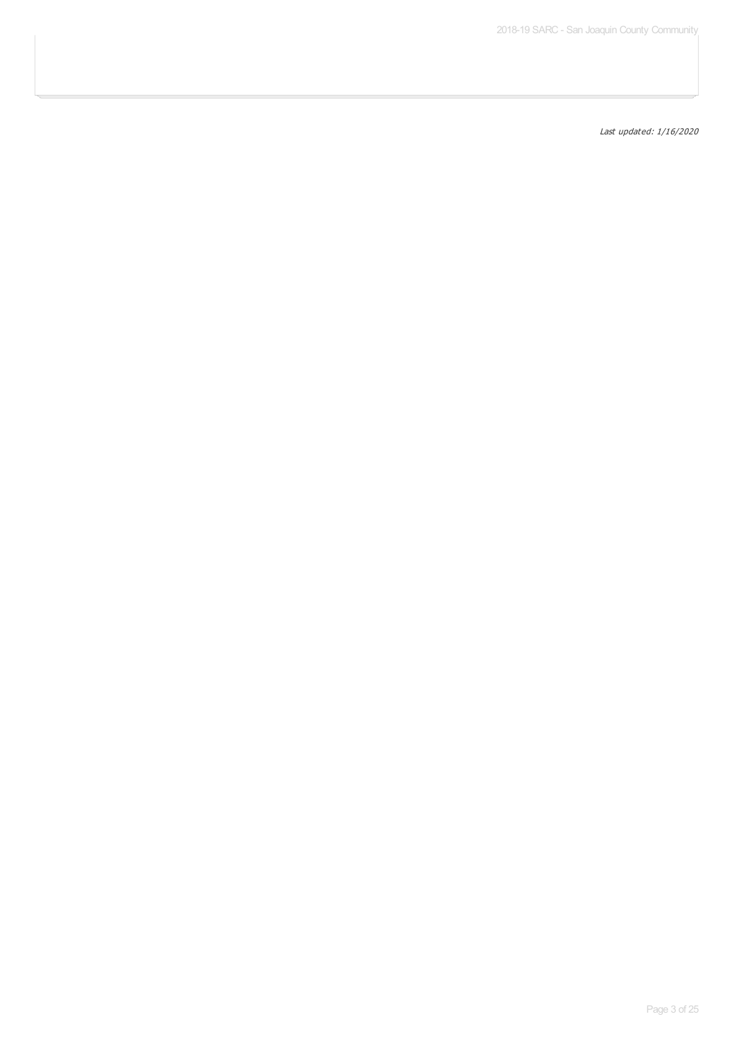Last updated: 1/16/2020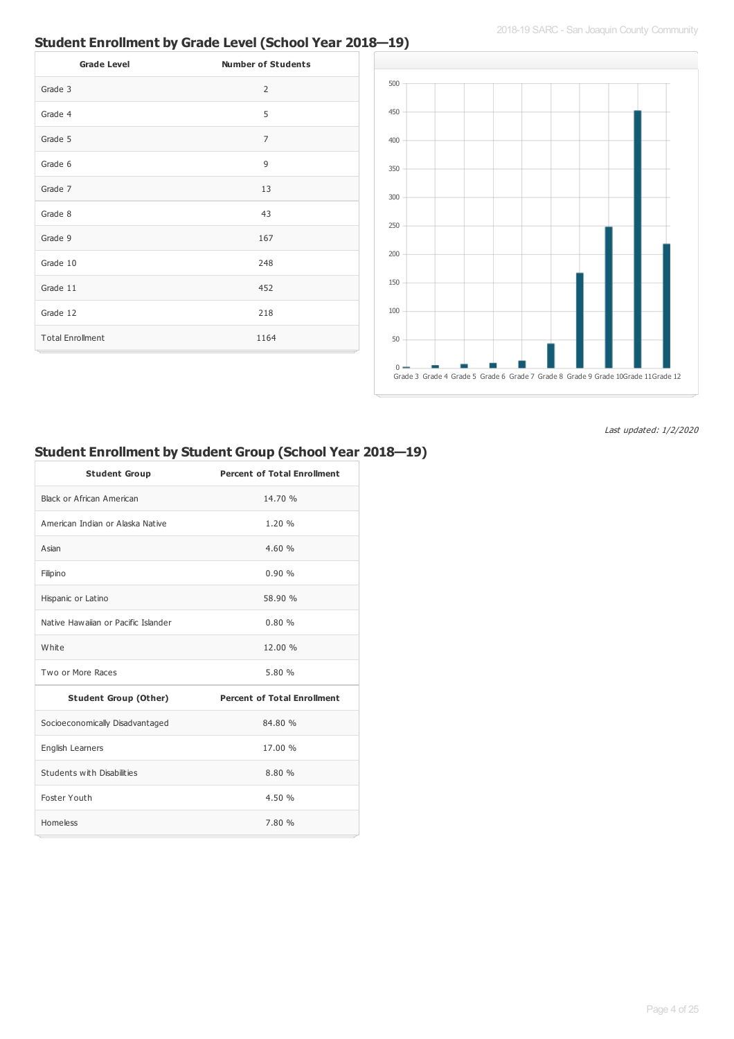## **Student Enrollment by Grade Level (School Year 2018—19)**

| <b>Grade Level</b>      | <b>Number of Students</b> |
|-------------------------|---------------------------|
| Grade 3                 | 2                         |
| Grade 4                 | 5                         |
| Grade 5                 | $\overline{7}$            |
| Grade 6                 | 9                         |
| Grade 7                 | 13                        |
| Grade 8                 | 43                        |
| Grade 9                 | 167                       |
| Grade 10                | 248                       |
| Grade 11                | 452                       |
| Grade 12                | 218                       |
| <b>Total Enrollment</b> | 1164                      |



Last updated: 1/2/2020

### **Student Enrollment by Student Group (School Year 2018—19)**

| <b>Student Group</b>                | <b>Percent of Total Enrollment</b> |
|-------------------------------------|------------------------------------|
| Black or African American           | 14.70 %                            |
| American Indian or Alaska Native    | 1.20 %                             |
| Asian                               | 4.60%                              |
| Filipino                            | 0.90%                              |
| Hispanic or Latino                  | 58.90 %                            |
| Native Hawaijan or Pacific Islander | 0.80%                              |
| White                               | 12.00%                             |
| Two or More Races                   | 5.80 %                             |
| <b>Student Group (Other)</b>        | <b>Percent of Total Enrollment</b> |
| Socioeconomically Disadvantaged     | 84.80 %                            |
| English Learners                    | 17.00 %                            |
| Students with Disabilities          | 8.80 %                             |
|                                     |                                    |
| Foster Youth                        | 4.50%                              |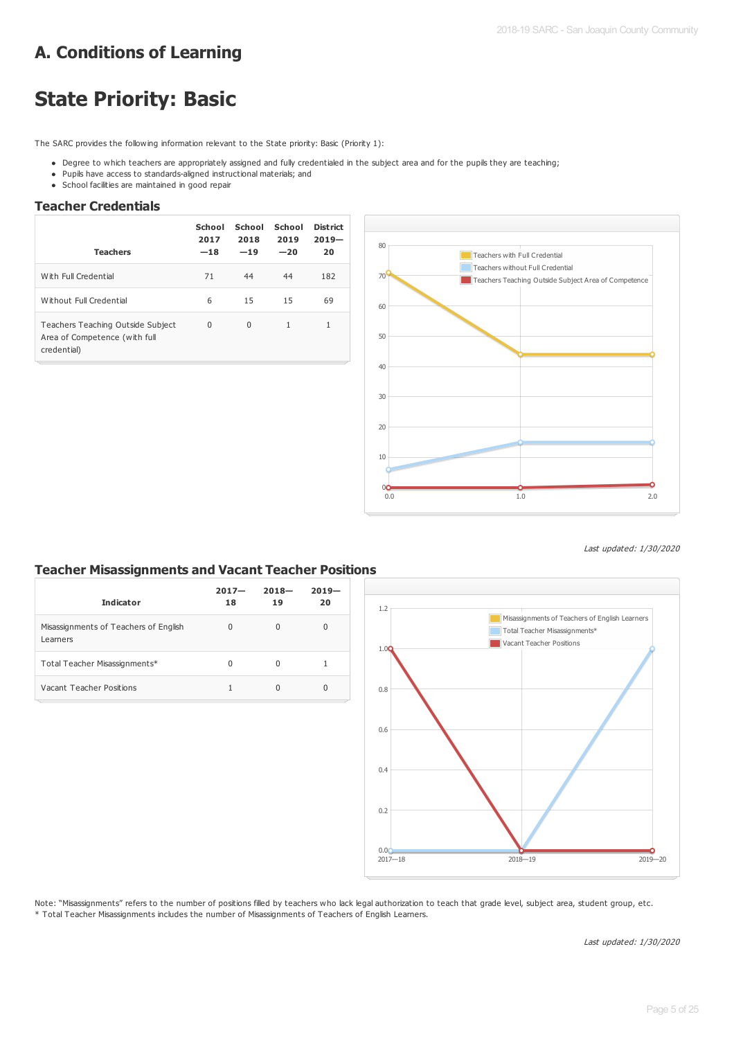# **A. Conditions of Learning**

# **State Priority: Basic**

The SARC provides the following information relevant to the State priority: Basic (Priority 1):

- Degree to which teachers are appropriately assigned and fully credentialed in the subject area and for the pupils they are teaching;
- Pupils have access to standards-aligned instructional materials; and
- School facilities are maintained in good repair

### **Teacher Credentials**

| <b>Teachers</b>                                                                   | School<br>2017<br>$-18$ | School<br>2018<br>$-19$ | School<br>2019<br>$-20$ | District<br>$2019-$<br>20 |
|-----------------------------------------------------------------------------------|-------------------------|-------------------------|-------------------------|---------------------------|
| With Full Credential                                                              | 71                      | 44                      | 44                      | 182                       |
| Without Full Credential                                                           | 6                       | 15                      | 15                      | 69                        |
| Teachers Teaching Outside Subject<br>Area of Competence (with full<br>credential) | $\Omega$                | $\Omega$                | 1                       | 1                         |



Last updated: 1/30/2020

### **Teacher Misassignments and Vacant Teacher Positions**

| <b>Indicator</b>                                  | $2017 -$<br>18 | $2018 -$<br>19 | $2019 -$<br>20 |
|---------------------------------------------------|----------------|----------------|----------------|
| Misassignments of Teachers of English<br>Learners | 0              | 0              | $\Omega$       |
| Total Teacher Misassignments*                     | 0              | 0              |                |
| Vacant Teacher Positions                          |                | O              | O              |



Note: "Misassignments" refers to the number of positions filled by teachers who lack legal authorization to teach that grade level, subject area, student group, etc. \* Total Teacher Misassignments includes the number of Misassignments of Teachers of English Learners.

Last updated: 1/30/2020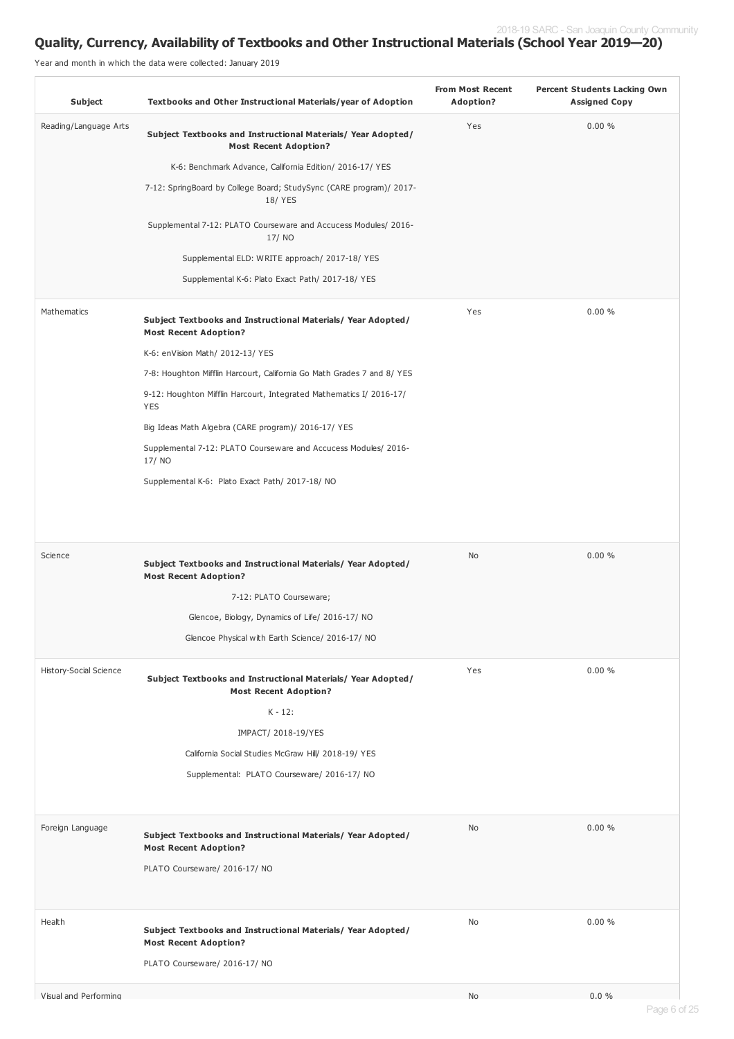### **Quality, Currency, Availability of Textbooks and Other Instructional Materials (School Year 2019—20)**

Year and month in which the data were collected: January 2019

| Subject                | <b>Textbooks and Other Instructional Materials/year of Adoption</b>                         | <b>From Most Recent</b><br><b>Adoption?</b> | <b>Percent Students Lacking Own</b><br><b>Assigned Copy</b> |
|------------------------|---------------------------------------------------------------------------------------------|---------------------------------------------|-------------------------------------------------------------|
| Reading/Language Arts  | Subject Textbooks and Instructional Materials/Year Adopted/<br><b>Most Recent Adoption?</b> | Yes                                         | 0.00%                                                       |
|                        | K-6: Benchmark Advance, California Edition/ 2016-17/ YES                                    |                                             |                                                             |
|                        | 7-12: SpringBoard by College Board; StudySync (CARE program)/ 2017-<br>18/ YES              |                                             |                                                             |
|                        | Supplemental 7-12: PLATO Courseware and Accucess Modules/ 2016-<br>17/NO                    |                                             |                                                             |
|                        | Supplemental ELD: WRITE approach/ 2017-18/ YES                                              |                                             |                                                             |
|                        | Supplemental K-6: Plato Exact Path/ 2017-18/ YES                                            |                                             |                                                             |
| Mathematics            | Subject Textbooks and Instructional Materials/Year Adopted/<br><b>Most Recent Adoption?</b> | Yes                                         | 0.00%                                                       |
|                        | K-6: enVision Math/ 2012-13/ YES                                                            |                                             |                                                             |
|                        | 7-8: Houghton Mifflin Harcourt, California Go Math Grades 7 and 8/ YES                      |                                             |                                                             |
|                        | 9-12: Houghton Mifflin Harcourt, Integrated Mathematics I/ 2016-17/<br><b>YES</b>           |                                             |                                                             |
|                        | Big Ideas Math Algebra (CARE program)/ 2016-17/ YES                                         |                                             |                                                             |
|                        | Supplemental 7-12: PLATO Courseware and Accucess Modules/ 2016-<br>17/ NO                   |                                             |                                                             |
|                        | Supplemental K-6: Plato Exact Path/ 2017-18/ NO                                             |                                             |                                                             |
| Science                | Subject Textbooks and Instructional Materials/Year Adopted/<br><b>Most Recent Adoption?</b> | No                                          | 0.00%                                                       |
|                        | 7-12: PLATO Courseware;                                                                     |                                             |                                                             |
|                        | Glencoe, Biology, Dynamics of Life/ 2016-17/ NO                                             |                                             |                                                             |
|                        | Glencoe Physical with Earth Science/ 2016-17/ NO                                            |                                             |                                                             |
| History-Social Science | Subject Textbooks and Instructional Materials/Year Adopted/<br><b>Most Recent Adoption?</b> | Yes                                         | 0.00%                                                       |
|                        | $K - 12$ :                                                                                  |                                             |                                                             |
|                        | IMPACT/ 2018-19/YES                                                                         |                                             |                                                             |
|                        | California Social Studies McGraw Hill/ 2018-19/ YES                                         |                                             |                                                             |
|                        | Supplemental: PLATO Courseware/ 2016-17/ NO                                                 |                                             |                                                             |
| Foreign Language       | Subject Textbooks and Instructional Materials/Year Adopted/<br><b>Most Recent Adoption?</b> | No                                          | 0.00%                                                       |
|                        | PLATO Courseware/ 2016-17/ NO                                                               |                                             |                                                             |
| Health                 | Subject Textbooks and Instructional Materials/Year Adopted/<br><b>Most Recent Adoption?</b> | No                                          | 0.00%                                                       |
|                        | PLATO Courseware/ 2016-17/ NO                                                               |                                             |                                                             |
| Visual and Performing  |                                                                                             | No                                          | $0.0 \%$                                                    |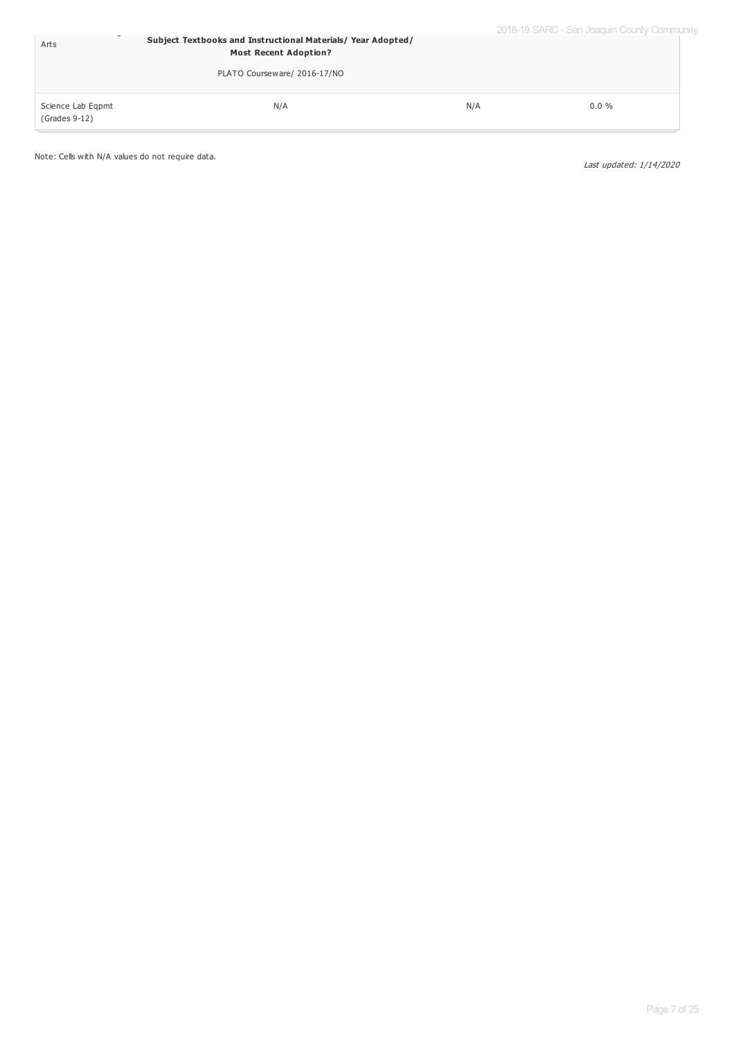| $\sim$<br>Subject Textbooks and Instructional Materials/Year Adopted/<br>Arts<br><b>Most Recent Adoption?</b> |                              |     |      |  |  |  |  |
|---------------------------------------------------------------------------------------------------------------|------------------------------|-----|------|--|--|--|--|
|                                                                                                               | PLATO Courseware/ 2016-17/NO |     |      |  |  |  |  |
| Science Lab Eqpmt<br>(Grades 9-12)                                                                            | N/A                          | N/A | 0.0% |  |  |  |  |

Note: Cells with N/A values do not require data.

Visual and Performing

Last updated: 1/14/2020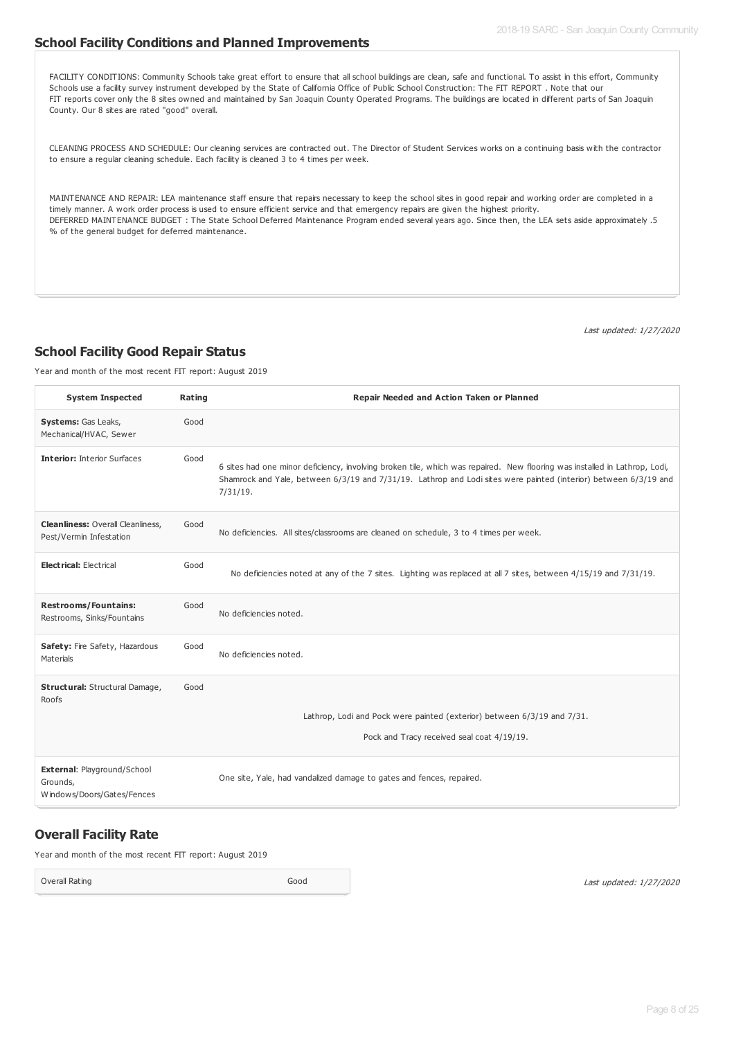#### 2018-19 SARC - San Joaquin County Community

### **School Facility Conditions and Planned Improvements**

FACILITY CONDITIONS: Community Schools take great effort to ensure that all school buildings are clean, safe and functional. To assist in this effort, Community Schools use a facility survey instrument developed by the State of California Office of Public School Construction: The FIT REPORT . Note that our FIT reports cover only the 8 sites owned and maintained by San Joaquin County Operated Programs. The buildings are located in different parts of San Joaquin County. Our 8 sites are rated "good" overall.

CLEANING PROCESS AND SCHEDULE: Our cleaning services are contracted out. The Director of Student Services works on a continuing basis with the contractor to ensure a regular cleaning schedule. Each facility is cleaned 3 to 4 times per week.

MAINTENANCE AND REPAIR: LEA maintenance staff ensure that repairs necessary to keep the school sites in good repair and working order are completed in a timely manner. A work order process is used to ensure efficient service and that emergency repairs are given the highest priority. DEFERRED MAINTENANCE BUDGET : The State School Deferred Maintenance Program ended several years ago. Since then, the LEA sets aside approximately .5 % of the general budget for deferred maintenance.

Last updated: 1/27/2020

### **School Facility Good Repair Status**

Year and month of the most recent FIT report: August 2019

| <b>System Inspected</b>                                               | Rating | Repair Needed and Action Taken or Planned                                                                                                                                                                                                                 |
|-----------------------------------------------------------------------|--------|-----------------------------------------------------------------------------------------------------------------------------------------------------------------------------------------------------------------------------------------------------------|
| <b>Systems: Gas Leaks,</b><br>Mechanical/HVAC, Sewer                  | Good   |                                                                                                                                                                                                                                                           |
| <b>Interior: Interior Surfaces</b>                                    | Good   | 6 sites had one minor deficiency, involving broken tile, which was repaired. New flooring was installed in Lathrop, Lodi,<br>Shamrock and Yale, between 6/3/19 and 7/31/19. Lathrop and Lodi sites were painted (interior) between 6/3/19 and<br>7/31/19. |
| <b>Cleanliness: Overall Cleanliness,</b><br>Pest/Vermin Infestation   | Good   | No deficiencies. All sites/classrooms are cleaned on schedule, 3 to 4 times per week.                                                                                                                                                                     |
| <b>Electrical: Electrical</b>                                         | Good   | No deficiencies noted at any of the 7 sites. Lighting was replaced at all 7 sites, between 4/15/19 and 7/31/19.                                                                                                                                           |
| <b>Restrooms/Fountains:</b><br>Restrooms, Sinks/Fountains             | Good   | No deficiencies noted.                                                                                                                                                                                                                                    |
| Safety: Fire Safety, Hazardous<br>Materials                           | Good   | No deficiencies noted.                                                                                                                                                                                                                                    |
| Structural: Structural Damage,<br>Roofs                               | Good   |                                                                                                                                                                                                                                                           |
|                                                                       |        | Lathrop, Lodi and Pock were painted (exterior) between 6/3/19 and 7/31.                                                                                                                                                                                   |
|                                                                       |        | Pock and Tracy received seal coat 4/19/19.                                                                                                                                                                                                                |
| External: Playground/School<br>Grounds,<br>Windows/Doors/Gates/Fences |        | One site, Yale, had vandalized damage to gates and fences, repaired.                                                                                                                                                                                      |

### **Overall Facility Rate**

Year and month of the most recent FIT report: August 2019

Overall Rating Good

Last updated: 1/27/2020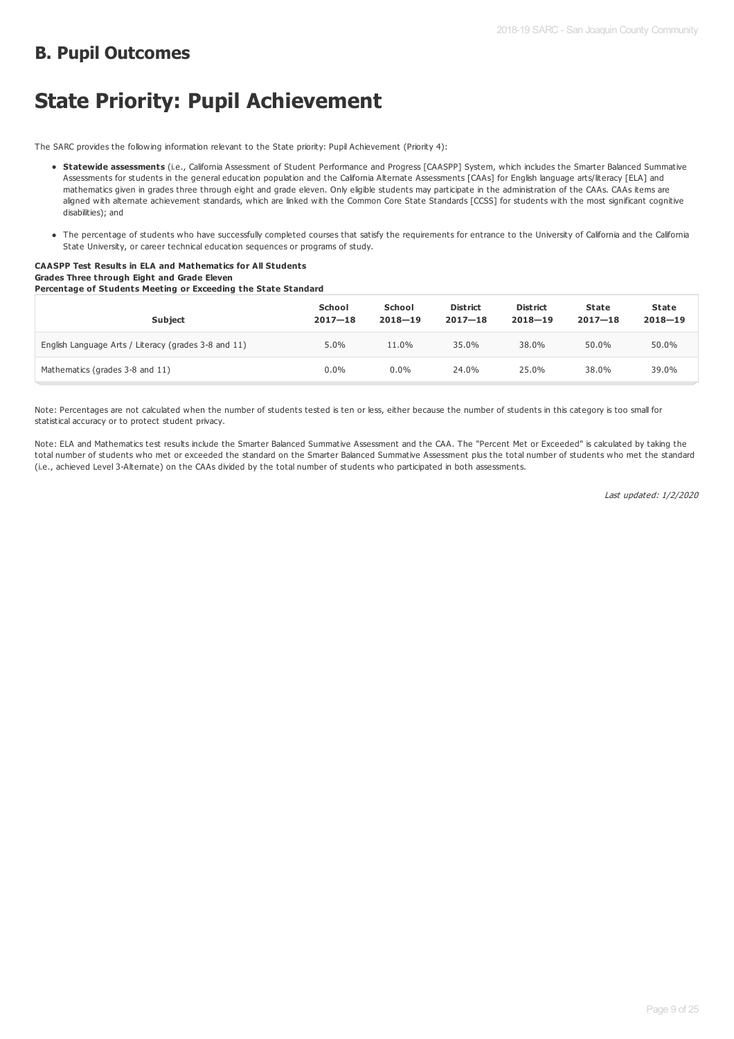# **B. Pupil Outcomes**

# **State Priority: Pupil Achievement**

The SARC provides the following information relevant to the State priority: Pupil Achievement (Priority 4):

- **Statewide assessments** (i.e., California Assessment of Student Performance and Progress [CAASPP] System, which includes the Smarter Balanced Summative Assessments for students in the general education population and the California Alternate Assessments [CAAs] for English language arts/literacy [ELA] and mathematics given in grades three through eight and grade eleven. Only eligible students may participate in the administration of the CAAs. CAAs items are aligned with alternate achievement standards, which are linked with the Common Core State Standards [CCSS] for students with the most significant cognitive disabilities); and
- The percentage of students who have successfully completed courses that satisfy the requirements for entrance to the University of California and the California State University, or career technical education sequences or programs of study.

#### **CAASPP Test Results in ELA and Mathematics for All Students Grades Three through Eight and Grade Eleven Percentage of Students Meeting or Exceeding the State Standard**

| <b>Subject</b>                                       | School<br>$2017 - 18$ | <b>School</b><br>$2018 - 19$ | <b>District</b><br>$2017 - 18$ | <b>District</b><br>$2018 - 19$ | State<br>$2017 - 18$ | State<br>$2018 - 19$ |
|------------------------------------------------------|-----------------------|------------------------------|--------------------------------|--------------------------------|----------------------|----------------------|
| English Language Arts / Literacy (grades 3-8 and 11) | 5.0%                  | 11.0%                        | 35.0%                          | 38.0%                          | 50.0%                | 50.0%                |
| Mathematics (grades 3-8 and 11)                      | $0.0\%$               | $0.0\%$                      | 24.0%                          | 25.0%                          | 38.0%                | 39.0%                |

Note: Percentages are not calculated when the number of students tested is ten or less, either because the number of students in this category is too small for statistical accuracy or to protect student privacy.

Note: ELA and Mathematics test results include the Smarter Balanced Summative Assessment and the CAA. The "Percent Met or Exceeded" is calculated by taking the total number of students who met or exceeded the standard on the Smarter Balanced Summative Assessment plus the total number of students who met the standard (i.e., achieved Level 3-Alternate) on the CAAs divided by the total number of students who participated in both assessments.

Last updated: 1/2/2020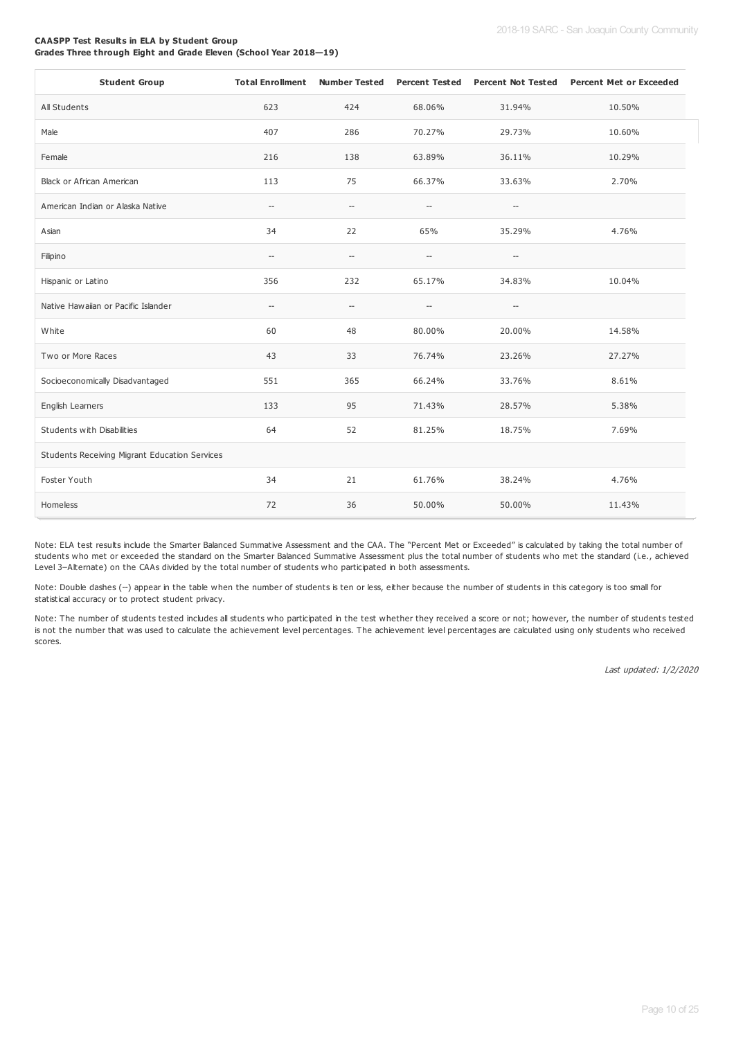#### **CAASPP Test Results in ELA by Student Group Grades Three through Eight and Grade Eleven (School Year 2018—19)**

| <b>Student Group</b>                          | <b>Total Enrollment</b>  |                                                     |                          |                                                     | Number Tested Percent Tested Percent Not Tested Percent Met or Exceeded |
|-----------------------------------------------|--------------------------|-----------------------------------------------------|--------------------------|-----------------------------------------------------|-------------------------------------------------------------------------|
| All Students                                  | 623                      | 424                                                 | 68.06%                   | 31.94%                                              | 10.50%                                                                  |
| Male                                          | 407                      | 286                                                 | 70.27%                   | 29.73%                                              | 10.60%                                                                  |
| Female                                        | 216                      | 138                                                 | 63.89%                   | 36.11%                                              | 10.29%                                                                  |
| <b>Black or African American</b>              | 113                      | 75                                                  | 66.37%                   | 33.63%                                              | 2.70%                                                                   |
| American Indian or Alaska Native              | $\hspace{0.05cm} -$      | $\hspace{0.05cm} -\hspace{0.05cm} -\hspace{0.05cm}$ | $\hspace{0.05cm} \ldots$ | $\hspace{0.05cm} -\hspace{0.05cm} -\hspace{0.05cm}$ |                                                                         |
| Asian                                         | 34                       | 22                                                  | 65%                      | 35.29%                                              | 4.76%                                                                   |
| Filipino                                      | $\hspace{0.05cm} \ldots$ | $\hspace{0.05cm} -\hspace{0.05cm} -\hspace{0.05cm}$ | $\hspace{0.05cm} \ldots$ | $\overline{\phantom{a}}$                            |                                                                         |
| Hispanic or Latino                            | 356                      | 232                                                 | 65.17%                   | 34.83%                                              | 10.04%                                                                  |
| Native Hawaiian or Pacific Islander           | $\hspace{0.05cm} \ldots$ | $\hspace{0.05cm} -\hspace{0.05cm} -\hspace{0.05cm}$ | $\hspace{0.05cm} \ldots$ | $\overline{\phantom{a}}$                            |                                                                         |
| White                                         | 60                       | 48                                                  | 80.00%                   | 20.00%                                              | 14.58%                                                                  |
| Two or More Races                             | 43                       | 33                                                  | 76.74%                   | 23.26%                                              | 27.27%                                                                  |
| Socioeconomically Disadvantaged               | 551                      | 365                                                 | 66.24%                   | 33.76%                                              | 8.61%                                                                   |
| English Learners                              | 133                      | 95                                                  | 71.43%                   | 28.57%                                              | 5.38%                                                                   |
| Students with Disabilities                    | 64                       | 52                                                  | 81.25%                   | 18.75%                                              | 7.69%                                                                   |
| Students Receiving Migrant Education Services |                          |                                                     |                          |                                                     |                                                                         |
| Foster Youth                                  | 34                       | 21                                                  | 61.76%                   | 38.24%                                              | 4.76%                                                                   |
| Homeless                                      | 72                       | 36                                                  | 50.00%                   | 50.00%                                              | 11.43%                                                                  |

Note: ELA test results include the Smarter Balanced Summative Assessment and the CAA. The "Percent Met or Exceeded" is calculated by taking the total number of students who met or exceeded the standard on the Smarter Balanced Summative Assessment plus the total number of students who met the standard (i.e., achieved Level 3-Alternate) on the CAAs divided by the total number of students who participated in both assessments.

Note: Double dashes (--) appear in the table when the number of students is ten or less, either because the number of students in this category is too small for statistical accuracy or to protect student privacy.

Note: The number of students tested includes all students who participated in the test whether they received a score or not; however, the number of students tested is not the number that was used to calculate the achievement level percentages. The achievement level percentages are calculated using only students who received scores.

Last updated: 1/2/2020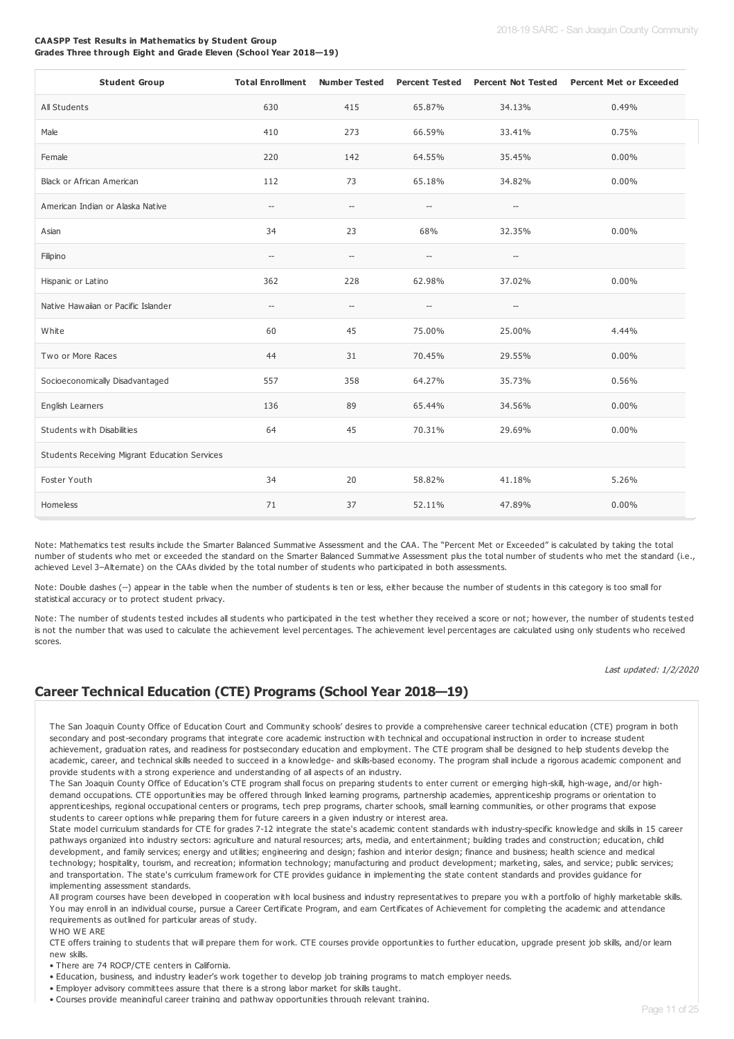#### **CAASPP Test Results in Mathematics by Student Group Grades Three through Eight and Grade Eleven (School Year 2018—19)**

| <b>Student Group</b>                          | Total Enrollment Number Tested Percent Tested |                                                     |                                    |                                                     | Percent Not Tested  Percent Met or Exceeded |
|-----------------------------------------------|-----------------------------------------------|-----------------------------------------------------|------------------------------------|-----------------------------------------------------|---------------------------------------------|
| All Students                                  | 630                                           | 415                                                 | 65.87%                             | 34.13%                                              | 0.49%                                       |
| Male                                          | 410                                           | 273                                                 | 66.59%                             | 33.41%                                              | 0.75%                                       |
| Female                                        | 220                                           | 142                                                 | 64.55%                             | 35.45%                                              | $0.00\%$                                    |
| <b>Black or African American</b>              | 112                                           | 73                                                  | 65.18%                             | 34.82%                                              | $0.00\%$                                    |
| American Indian or Alaska Native              | $\hspace{0.05cm} \ldots$                      | $\hspace{0.05cm} \dashv$                            | $\hspace{0.05cm} -\hspace{0.05cm}$ | $-\!$                                               |                                             |
| Asian                                         | 34                                            | 23                                                  | 68%                                | 32.35%                                              | $0.00\%$                                    |
| Filipino                                      | $\hspace{0.05cm} \ldots$                      | $\hspace{0.05cm} -\hspace{0.05cm}$                  | $\hspace{0.05cm} -$                | $\overline{\phantom{a}}$                            |                                             |
| Hispanic or Latino                            | 362                                           | 228                                                 | 62.98%                             | 37.02%                                              | $0.00\%$                                    |
| Native Hawaiian or Pacific Islander           | $\hspace{0.05cm} \ldots$                      | $\hspace{0.05cm} -\hspace{0.05cm} -\hspace{0.05cm}$ | $\hspace{0.05cm} \ldots$           | $\hspace{0.05cm} -\hspace{0.05cm} -\hspace{0.05cm}$ |                                             |
| White                                         | 60                                            | 45                                                  | 75.00%                             | 25.00%                                              | 4.44%                                       |
| Two or More Races                             | 44                                            | 31                                                  | 70.45%                             | 29.55%                                              | $0.00\%$                                    |
| Socioeconomically Disadvantaged               | 557                                           | 358                                                 | 64.27%                             | 35.73%                                              | 0.56%                                       |
| English Learners                              | 136                                           | 89                                                  | 65.44%                             | 34.56%                                              | $0.00\%$                                    |
| Students with Disabilities                    | 64                                            | 45                                                  | 70.31%                             | 29.69%                                              | $0.00\%$                                    |
| Students Receiving Migrant Education Services |                                               |                                                     |                                    |                                                     |                                             |
| Foster Youth                                  | 34                                            | 20                                                  | 58.82%                             | 41.18%                                              | 5.26%                                       |
| Homeless                                      | 71                                            | 37                                                  | 52.11%                             | 47.89%                                              | $0.00\%$                                    |

Note: Mathematics test results include the Smarter Balanced Summative Assessment and the CAA. The "Percent Met or Exceeded" is calculated by taking the total number of students who met or exceeded the standard on the Smarter Balanced Summative Assessment plus the total number of students who met the standard (i.e., achieved Level 3–Alternate) on the CAAs divided by the total number of students who participated in both assessments.

Note: Double dashes (--) appear in the table when the number of students is ten or less, either because the number of students in this category is too small for statistical accuracy or to protect student privacy.

Note: The number of students tested includes all students who participated in the test whether they received a score or not; however, the number of students tested is not the number that was used to calculate the achievement level percentages. The achievement level percentages are calculated using only students who received scores.

Last updated: 1/2/2020

## **Career Technical Education (CTE) Programs (School Year 2018—19)**

The San Joaquin County Office of Education Court and Community schools' desires to provide a comprehensive career technical education (CTE) program in both secondary and post-secondary programs that integrate core academic instruction with technical and occupational instruction in order to increase student achievement, graduation rates, and readiness for postsecondary education and employment. The CTE program shall be designed to help students develop the academic, career, and technical skills needed to succeed in a knowledge- and skills-based economy. The program shall include a rigorous academic component and provide students with a strong experience and understanding of all aspects of an industry.

The San Joaquin County Office of Education's CTE program shall focus on preparing students to enter current or emerging high-skill, high-wage, and/or highdemand occupations. CTE opportunities may be offered through linked learning programs, partnership academies, apprenticeship programs or orientation to apprenticeships, regional occupational centers or programs, tech prep programs, charter schools, small learning communities, or other programs that expose students to career options while preparing them for future careers in a given industry or interest area.

State model curriculum standards for CTE for grades 7-12 integrate the state's academic content standards with industry-specific knowledge and skills in 15 career pathways organized into industry sectors: agriculture and natural resources; arts, media, and entertainment; building trades and construction; education, child development, and family services; energy and utilities; engineering and design; fashion and interior design; finance and business; health science and medical technology; hospitality, tourism, and recreation; information technology; manufacturing and product development; marketing, sales, and service; public services; and transportation. The state's curriculum framework for CTE provides guidance in implementing the state content standards and provides guidance for implementing assessment standards.

All program courses have been developed in cooperation with local business and industry representatives to prepare you with a portfolio of highly marketable skills. You may enroll in an individual course, pursue a Career Certificate Program, and earn Certificates of Achievement for completing the academic and attendance requirements as outlined for particular areas of study. WHO WE ARE

CTE offers training to students that will prepare them for work. CTE courses provide opportunities to further education, upgrade present job skills, and/or learn new skills.

• There are 74 ROCP/CTE centers in California.

- Education, business, and industry leader's work together to develop job training programs to match employer needs.
- Employer advisory committees assure that there is a strong labor market for skills taught.
- Courses provide meaningful career training and pathway opportunities through relevant training.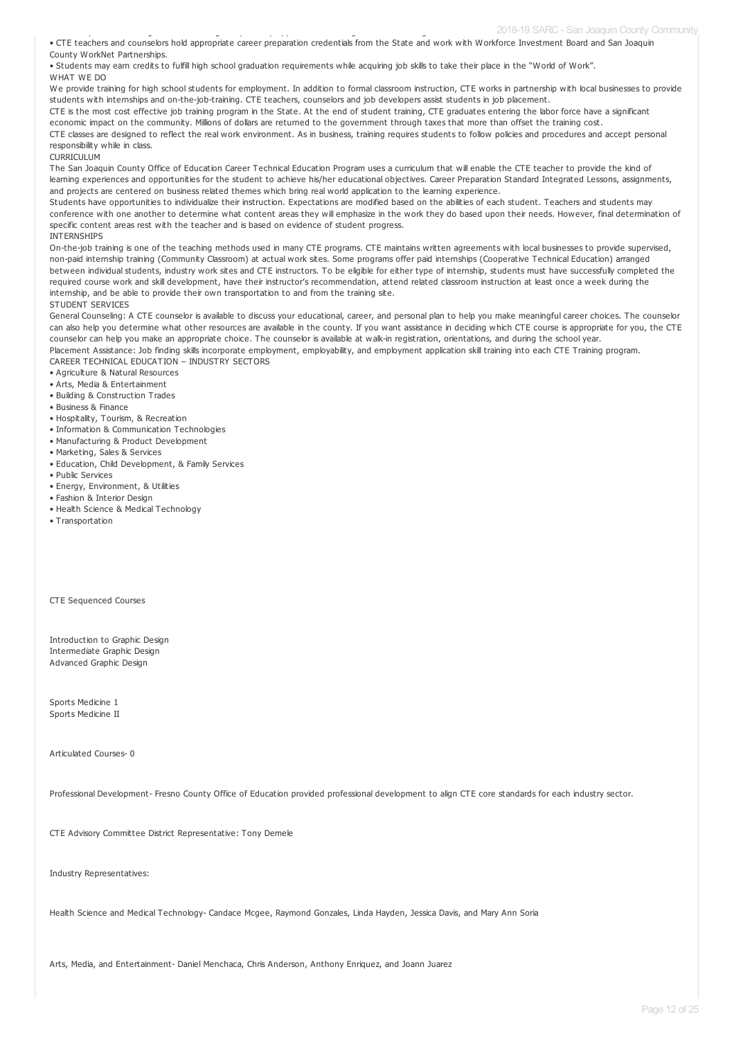• Courses provide meaningful career training and pathway opportunities through relevant training. • CTE teachers and counselors hold appropriate career preparation credentials from the State and work with Workforce Investment Board and San Joaquin County WorkNet Partnerships.

• Students may earn credits to fulfill high school graduation requirements while acquiring job skills to take their place in the "World of Work". WHAT WE DO

We provide training for high school students for employment. In addition to formal classroom instruction, CTE works in partnership with local businesses to provide students with internships and on-the-job-training. CTE teachers, counselors and job developers assist students in job placement.

CTE is the most cost effective job training program in the State. At the end of student training, CTE graduates entering the labor force have a significant economic impact on the community. Millions of dollars are returned to the government through taxes that more than offset the training cost. CTE classes are designed to reflect the real work environment. As in business, training requires students to follow policies and procedures and accept personal

responsibility while in class.

### **CURRICULUM**

The San Joaquin County Office of Education Career Technical Education Program uses a curriculum that will enable the CTE teacher to provide the kind of learning experiences and opportunities for the student to achieve his/her educational objectives. Career Preparation Standard Integrated Lessons, assignments, and projects are centered on business related themes which bring real world application to the learning experience.

Students have opportunities to individualize their instruction. Expectations are modified based on the abilities of each student. Teachers and students may conference with one another to determine what content areas they will emphasize in the work they do based upon their needs. However, final determination of specific content areas rest with the teacher and is based on evidence of student progress.

#### INTERNSHIPS

On-the-job training is one of the teaching methods used in many CTE programs. CTE maintains written agreements with local businesses to provide supervised, non-paid internship training (Community Classroom) at actual work sites. Some programs offer paid internships (Cooperative Technical Education) arranged between individual students, industry work sites and CTE instructors. To be eligible for either type of internship, students must have successfully completed the required course work and skill development, have their instructor's recommendation, attend related classroom instruction at least once a week during the internship, and be able to provide their own transportation to and from the training site.

STUDENT SERVICES

General Counseling: A CTE counselor is available to discuss your educational, career, and personal plan to help you make meaningful career choices. The counselor can also help you determine what other resources are available in the county. If you want assistance in deciding which CTE course is appropriate for you, the CTE counselor can help you make an appropriate choice. The counselor is available at walk-in registration, orientations, and during the school year. Placement Assistance: Job finding skills incorporate employment, employability, and employment application skill training into each CTE Training program.

CAREER TECHNICAL EDUCATION – INDUSTRY SECTORS

- Agriculture & Natural Resources
- Arts, Media & Entertainment
- Building & Construction Trades
- Business & Finance
- Hospitality, Tourism, & Recreation
- Information & Communication Technologies
- Manufacturing & Product Development
- Marketing, Sales & Services
- Education, Child Development, & Family Services
- Public Services
- Energy, Environment, & Utilities
- Fashion & Interior Design
- Health Science & Medical Technology
- Transportation

CTE Sequenced Courses

Introduction to Graphic Design Intermediate Graphic Design Advanced Graphic Design

Sports Medicine 1 Sports Medicine II

Articulated Courses- 0

Professional Development- Fresno County Office of Education provided professional development to align CTE core standards for each industry sector.

CTE Advisory Committee District Representative: Tony Demele

Industry Representatives:

Health Science and Medical Technology- Candace Mcgee, Raymond Gonzales, Linda Hayden, Jessica Davis, and Mary Ann Soria

Arts, Media, and Entertainment- Daniel Menchaca, Chris Anderson, Anthony Enriquez, and Joann Juarez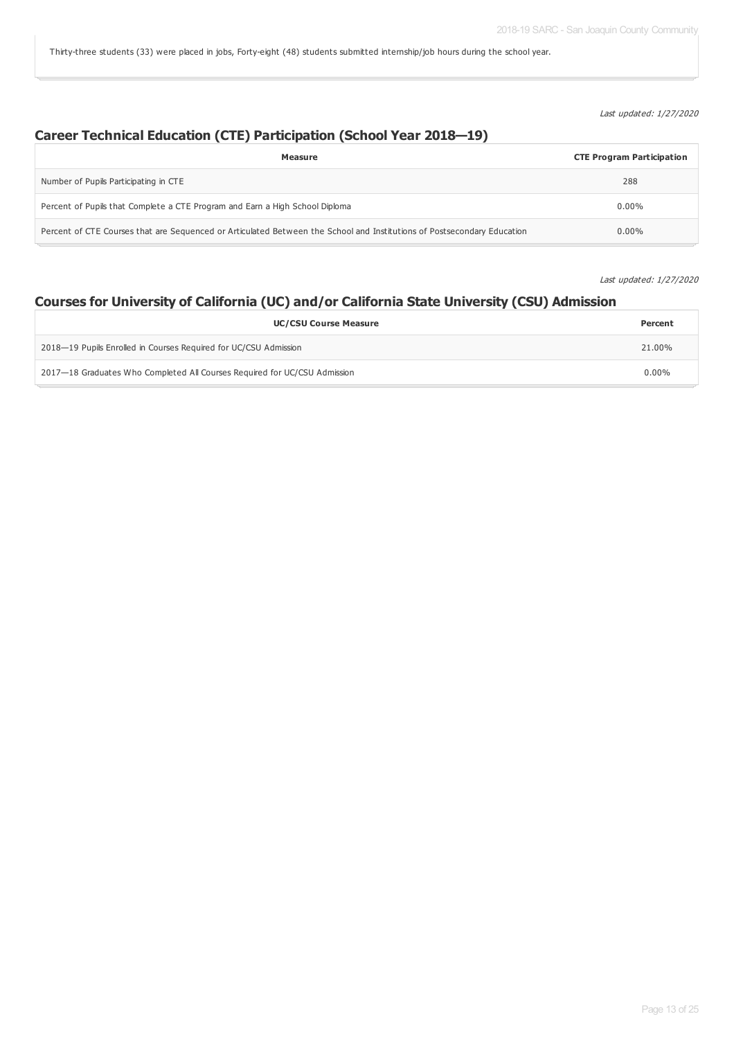Thirty-three students (33) were placed in jobs, Forty-eight (48) students submitted internship/job hours during the school year.

Last updated: 1/27/2020

### **Career Technical Education (CTE) Participation (School Year 2018—19)**

| <b>Measure</b>                                                                                                          | <b>CTE Program Participation</b> |
|-------------------------------------------------------------------------------------------------------------------------|----------------------------------|
| Number of Pupils Participating in CTE                                                                                   | 288                              |
| Percent of Pupils that Complete a CTE Program and Earn a High School Diploma                                            | $0.00\%$                         |
| Percent of CTE Courses that are Sequenced or Articulated Between the School and Institutions of Postsecondary Education | $0.00\%$                         |

Last updated: 1/27/2020

## **Courses for University of California (UC) and/or California State University (CSU) Admission**

| <b>UC/CSU Course Measure</b>                                              | Percent  |
|---------------------------------------------------------------------------|----------|
| 2018-19 Pupils Enrolled in Courses Required for UC/CSU Admission          | 21.00%   |
| 2017-18 Graduates Who Completed All Courses Required for UC/CSU Admission | $0.00\%$ |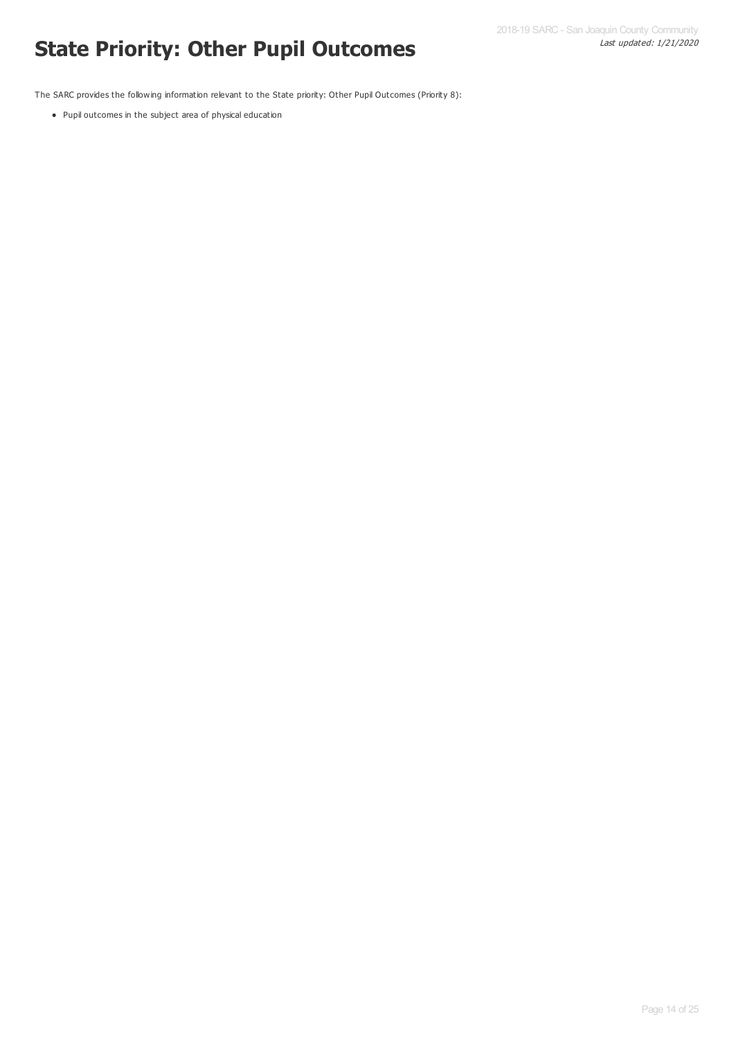# Last updated: 1/21/2020 **State Priority: Other Pupil Outcomes**

The SARC provides the following information relevant to the State priority: Other Pupil Outcomes (Priority 8):

Pupil outcomes in the subject area of physical education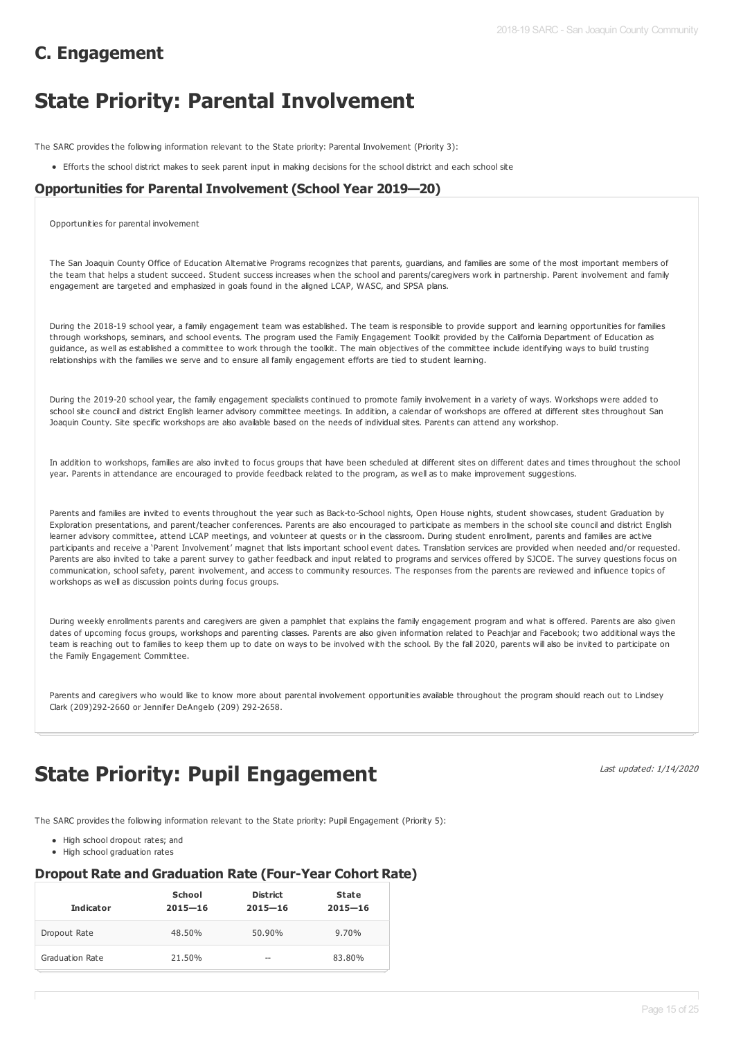# **C. Engagement**

# **State Priority: Parental Involvement**

The SARC provides the following information relevant to the State priority: Parental Involvement (Priority 3):

Efforts the school district makes to seek parent input in making decisions for the school district and each school site

### **Opportunities for Parental Involvement (School Year 2019—20)**

Opportunities for parental involvement

The San Joaquin County Office of Education Alternative Programs recognizes that parents, guardians, and families are some of the most important members of the team that helps a student succeed. Student success increases when the school and parents/caregivers work in partnership. Parent involvement and family engagement are targeted and emphasized in goals found in the aligned LCAP, WASC, and SPSA plans.

During the 2018-19 school year, a family engagement team was established. The team is responsible to provide support and learning opportunities for families through workshops, seminars, and school events. The program used the Family Engagement Toolkit provided by the California Department of Education as guidance, as well as established a committee to work through the toolkit. The main objectives of the committee include identifying ways to build trusting relationships with the families we serve and to ensure all family engagement efforts are tied to student learning.

During the 2019-20 school year, the family engagement specialists continued to promote family involvement in a variety of ways. Workshops were added to school site council and district English learner advisory committee meetings. In addition, a calendar of workshops are offered at different sites throughout San Joaquin County. Site specific workshops are also available based on the needs of individual sites. Parents can attend any workshop.

In addition to workshops, families are also invited to focus groups that have been scheduled at different sites on different dates and times throughout the school year. Parents in attendance are encouraged to provide feedback related to the program, as well as to make improvement suggestions.

Parents and families are invited to events throughout the year such as Back-to-School nights, Open House nights, student showcases, student Graduation by Exploration presentations, and parent/teacher conferences. Parents are also encouraged to participate as members in the school site council and district English learner advisory committee, attend LCAP meetings, and volunteer at quests or in the classroom. During student enrollment, parents and families are active participants and receive a 'Parent Involvement' magnet that lists important school event dates. Translation services are provided when needed and/or requested. Parents are also invited to take a parent survey to gather feedback and input related to programs and services offered by SJCOE. The survey questions focus on communication, school safety, parent involvement, and access to community resources. The responses from the parents are reviewed and influence topics of workshops as well as discussion points during focus groups.

During weekly enrollments parents and caregivers are given a pamphlet that explains the family engagement program and what is offered. Parents are also given dates of upcoming focus groups, workshops and parenting classes. Parents are also given information related to Peachjar and Facebook; two additional ways the team is reaching out to families to keep them up to date on ways to be involved with the school. By the fall 2020, parents will also be invited to participate on the Family Engagement Committee.

Parents and caregivers who would like to know more about parental involvement opportunities available throughout the program should reach out to Lindsey Clark (209)292-2660 or Jennifer DeAngelo (209) 292-2658.

# **State Priority: Pupil Engagement**

Last updated: 1/14/2020

The SARC provides the following information relevant to the State priority: Pupil Engagement (Priority 5):

- High school dropout rates; and
- High school graduation rates

## **Dropout Rate and Graduation Rate (Four-Year Cohort Rate)**

| <b>Indicator</b> | School<br>$2015 - 16$ | <b>District</b><br>$2015 - 16$ | <b>State</b><br>$2015 - 16$ |
|------------------|-----------------------|--------------------------------|-----------------------------|
| Dropout Rate     | 48.50%                | 50.90%                         | 9.70%                       |
| Graduation Rate  | 21.50%                | $-$                            | 83.80%                      |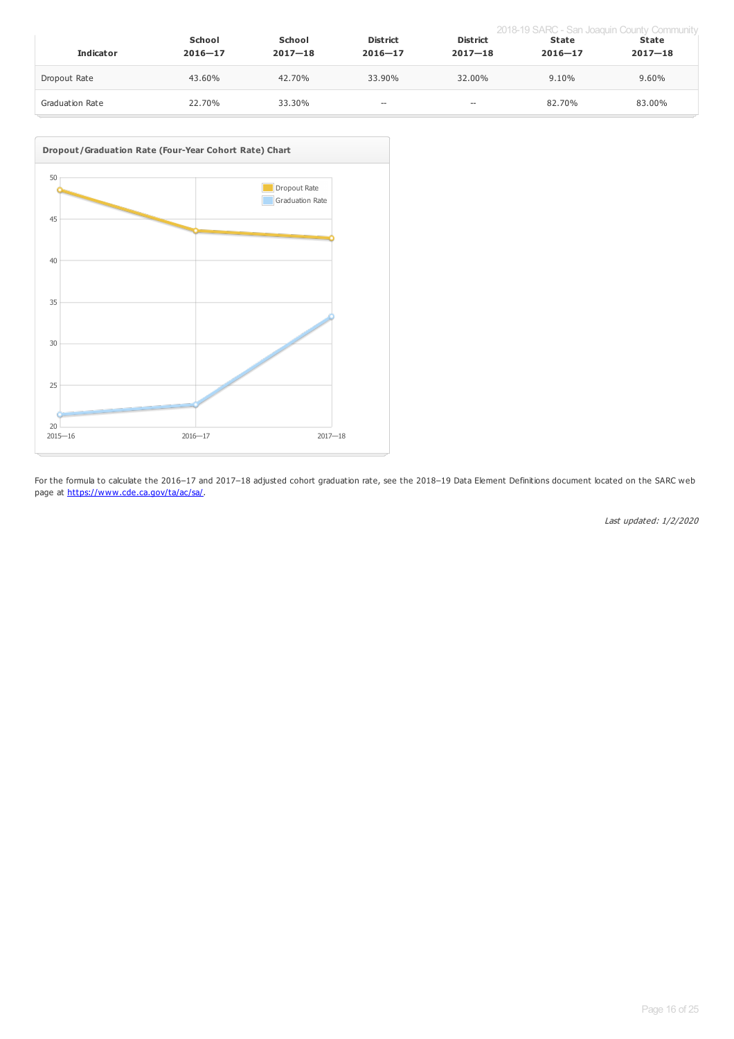|                        |             |             |                          |                 |             | 2018-19 SARC - San Joaquin County Community |
|------------------------|-------------|-------------|--------------------------|-----------------|-------------|---------------------------------------------|
|                        | School      | School      | <b>District</b>          | <b>District</b> | State       | State                                       |
| <b>Indicator</b>       | $2016 - 17$ | $2017 - 18$ | $2016 - 17$              | $2017 - 18$     | $2016 - 17$ | $2017 - 18$                                 |
| Dropout Rate           | 43.60%      | 42.70%      | 33.90%                   | 32.00%          | 9.10%       | 9.60%                                       |
| <b>Graduation Rate</b> | 22.70%      | 33.30%      | $\hspace{0.05cm} \ldots$ | $- -$           | 82.70%      | 83.00%                                      |



For the formula to calculate the 2016–17 and 2017–18 adjusted cohort graduation rate, see the 2018–19 Data Element Definitions document located on the SARC web page at <https://www.cde.ca.gov/ta/ac/sa/>.

Last updated: 1/2/2020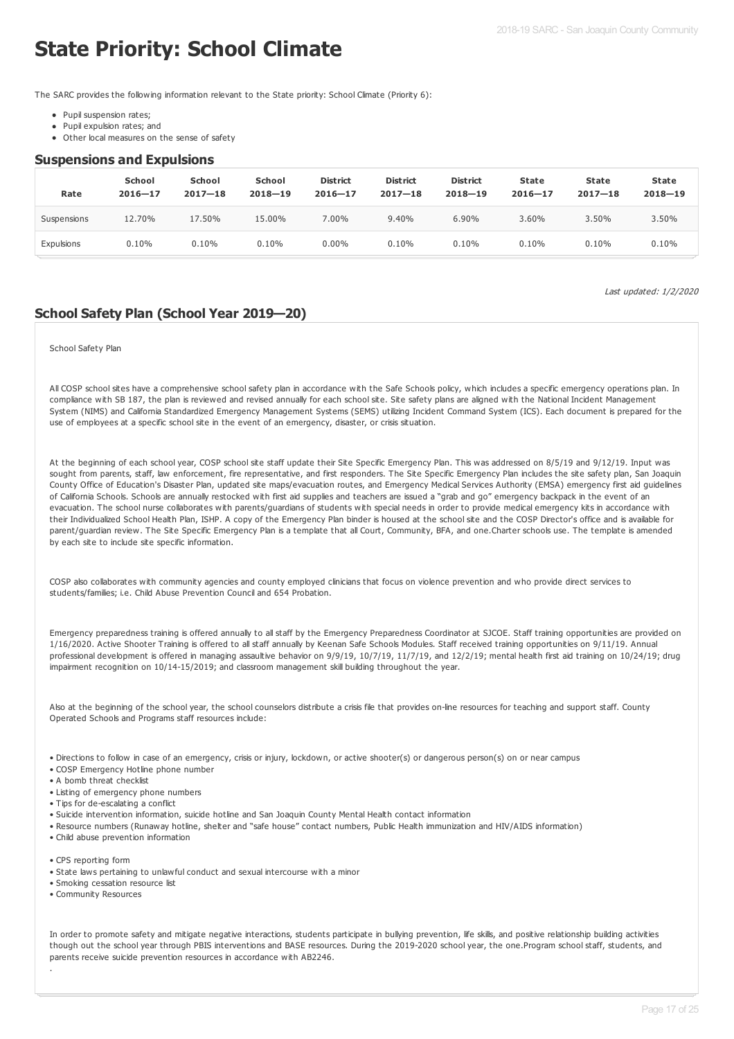# **State Priority: School Climate**

The SARC provides the following information relevant to the State priority: School Climate (Priority 6):

- Pupil suspension rates;
- Pupil expulsion rates; and
- Other local measures on the sense of safety

### **Suspensions and Expulsions**

| Rate        | <b>School</b><br>$2016 - 17$ | <b>School</b><br>$2017 - 18$ | <b>School</b><br>$2018 - 19$ | <b>District</b><br>$2016 - 17$ | <b>District</b><br>$2017 - 18$ | <b>District</b><br>$2018 - 19$ | State<br>$2016 - 17$ | <b>State</b><br>$2017 - 18$ | <b>State</b><br>$2018 - 19$ |
|-------------|------------------------------|------------------------------|------------------------------|--------------------------------|--------------------------------|--------------------------------|----------------------|-----------------------------|-----------------------------|
| Suspensions | 12.70%                       | 17.50%                       | 15.00%                       | 7.00%                          | 9.40%                          | 6.90%                          | 3.60%                | 3.50%                       | 3.50%                       |
| Expulsions  | 0.10%                        | 0.10%                        | 0.10%                        | $0.00\%$                       | 0.10%                          | 0.10%                          | 0.10%                | 0.10%                       | 0.10%                       |

Last updated: 1/2/2020

### **School Safety Plan (School Year 2019—20)**

#### School Safety Plan

All COSP school sites have a comprehensive school safety plan in accordance with the Safe Schools policy, which includes a specific emergency operations plan. In compliance with SB 187, the plan is reviewed and revised annually for each school site. Site safety plans are aligned with the National Incident Management System (NIMS) and California Standardized Emergency Management Systems (SEMS) utilizing Incident Command System (ICS). Each document is prepared for the use of employees at a specific school site in the event of an emergency, disaster, or crisis situation.

At the beginning of each school year, COSP school site staff update their Site Specific Emergency Plan. This was addressed on 8/5/19 and 9/12/19. Input was sought from parents, staff, law enforcement, fire representative, and first responders. The Site Specific Emergency Plan includes the site safety plan, San Joaquin County Office of Education's Disaster Plan, updated site maps/evacuation routes, and Emergency Medical Services Authority (EMSA) emergency first aid guidelines of California Schools. Schools are annually restocked with first aid supplies and teachers are issued a "grab and go" emergency backpack in the event of an evacuation. The school nurse collaborates with parents/guardians of students with special needs in order to provide medical emergency kits in accordance with their Individualized School Health Plan, ISHP. A copy of the Emergency Plan binder is housed at the school site and the COSP Director's office and is available for parent/guardian review. The Site Specific Emergency Plan is a template that all Court, Community, BFA, and one.Charter schools use. The template is amended by each site to include site specific information.

COSP also collaborates with community agencies and county employed clinicians that focus on violence prevention and who provide direct services to students/families; i.e. Child Abuse Prevention Council and 654 Probation.

Emergency preparedness training is offered annually to all staff by the Emergency Preparedness Coordinator at SJCOE. Staff training opportunities are provided on 1/16/2020. Active Shooter Training is offered to all staff annually by Keenan Safe Schools Modules. Staff received training opportunities on 9/11/19. Annual professional development is offered in managing assaultive behavior on 9/9/19, 10/7/19, 11/7/19, and 12/2/19; mental health first aid training on 10/24/19; drug impairment recognition on 10/14-15/2019; and classroom management skill building throughout the year.

Also at the beginning of the school year, the school counselors distribute a crisis file that provides on-line resources for teaching and support staff. County Operated Schools and Programs staff resources include:

• Directions to follow in case of an emergency, crisis or injury, lockdown, or active shooter(s) or dangerous person(s) on or near campus

- COSP Emergency Hotline phone number
- A bomb threat checklist
- Listing of emergency phone numbers
- Tips for de-escalating a conflict
- Suicide intervention information, suicide hotline and San Joaquin County Mental Health contact information
- Resource numbers (Runaway hotline, shelter and "safe house" contact numbers, Public Health immunization and HIV/AIDS information)
- Child abuse prevention information
- CPS reporting form
- State laws pertaining to unlawful conduct and sexual intercourse with a minor
- Smoking cessation resource list
- Community Resources

.

In order to promote safety and mitigate negative interactions, students participate in bullying prevention, life skills, and positive relationship building activities though out the school year through PBIS interventions and BASE resources. During the 2019-2020 school year, the one.Program school staff, students, and parents receive suicide prevention resources in accordance with AB2246.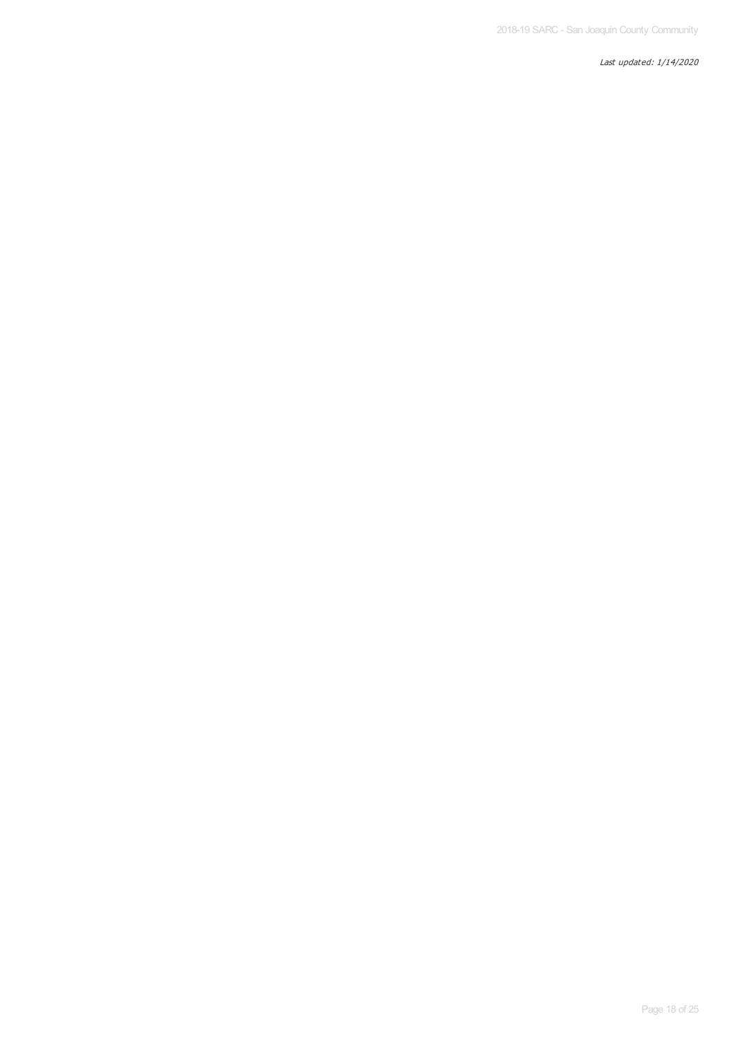Last updated: 1/14/2020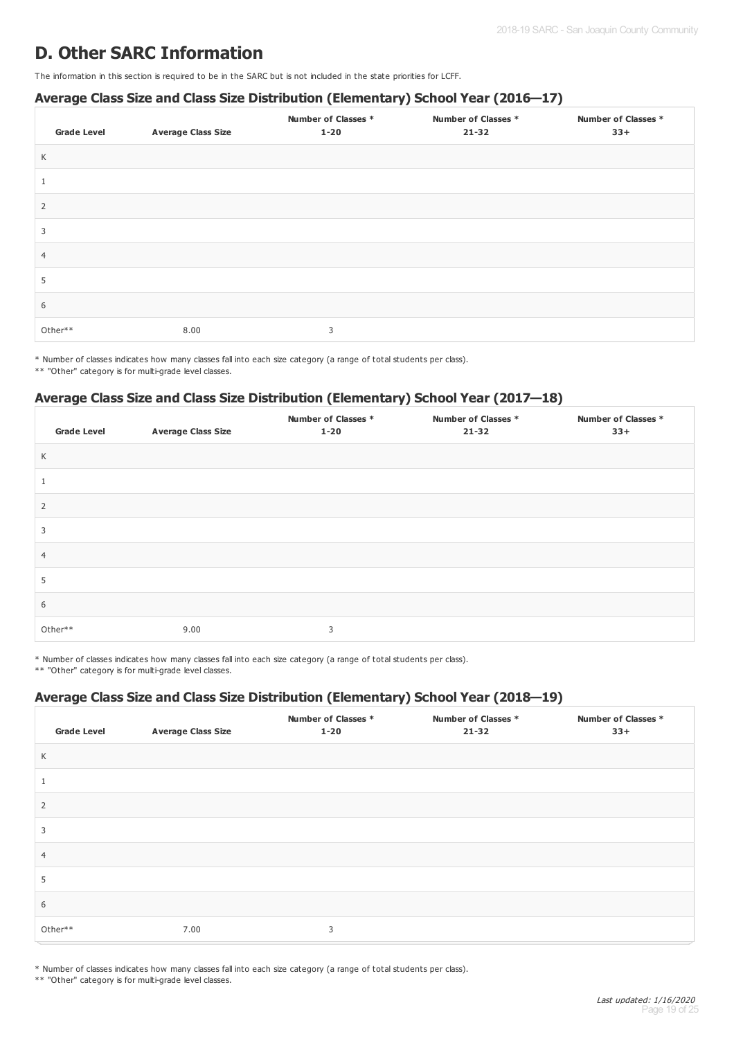# **D. Other SARC Information**

The information in this section is required to be in the SARC but is not included in the state priorities for LCFF.

### **Average Class Size and Class Size Distribution (Elementary) School Year (2016—17)**

| <b>Grade Level</b> | <b>Average Class Size</b> | Number of Classes *<br>$1 - 20$ | Number of Classes *<br>$21 - 32$ | Number of Classes *<br>$33+$ |
|--------------------|---------------------------|---------------------------------|----------------------------------|------------------------------|
| K                  |                           |                                 |                                  |                              |
| 1                  |                           |                                 |                                  |                              |
| $\overline{2}$     |                           |                                 |                                  |                              |
| 3                  |                           |                                 |                                  |                              |
| $\overline{4}$     |                           |                                 |                                  |                              |
| 5                  |                           |                                 |                                  |                              |
| 6                  |                           |                                 |                                  |                              |
| Other**            | 8.00                      | 3                               |                                  |                              |

\* Number of classes indicates how many classes fall into each size category (a range of total students per class).

\*\* "Other" category is for multi-grade level classes.

### **Average Class Size and Class Size Distribution (Elementary) School Year (2017—18)**

| <b>Grade Level</b> | <b>Average Class Size</b> | Number of Classes *<br>$1 - 20$ | Number of Classes *<br>$21 - 32$ | <b>Number of Classes *</b><br>$33+$ |
|--------------------|---------------------------|---------------------------------|----------------------------------|-------------------------------------|
| K                  |                           |                                 |                                  |                                     |
|                    |                           |                                 |                                  |                                     |
| $\overline{2}$     |                           |                                 |                                  |                                     |
| 3                  |                           |                                 |                                  |                                     |
| $\overline{4}$     |                           |                                 |                                  |                                     |
| 5                  |                           |                                 |                                  |                                     |
| 6                  |                           |                                 |                                  |                                     |
| Other**            | 9.00                      | 3                               |                                  |                                     |

\* Number of classes indicates how many classes fall into each size category (a range of total students per class).

\*\* "Other" category is for multi-grade level classes.

## **Average Class Size and Class Size Distribution (Elementary) School Year (2018—19)**

| <b>Grade Level</b> | <b>Average Class Size</b> | Number of Classes *<br>$1 - 20$ | Number of Classes *<br>$21 - 32$ | Number of Classes *<br>$33+$ |
|--------------------|---------------------------|---------------------------------|----------------------------------|------------------------------|
| K                  |                           |                                 |                                  |                              |
| 1                  |                           |                                 |                                  |                              |
| $\overline{2}$     |                           |                                 |                                  |                              |
| 3                  |                           |                                 |                                  |                              |
| $\overline{4}$     |                           |                                 |                                  |                              |
| 5                  |                           |                                 |                                  |                              |
| 6                  |                           |                                 |                                  |                              |
| Other**            | 7.00                      | 3                               |                                  |                              |

\* Number of classes indicates how many classes fall into each size category (a range of total students per class).

\*\* "Other" category is for multi-grade level classes.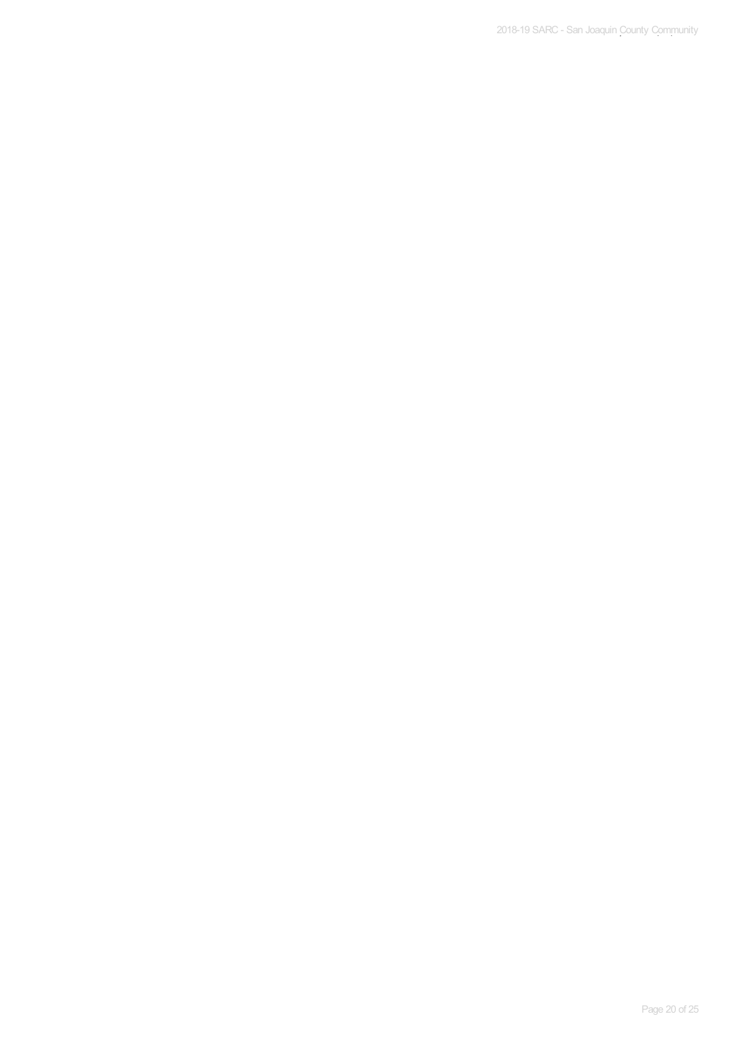2018-19 SARC - San Joaquin County Community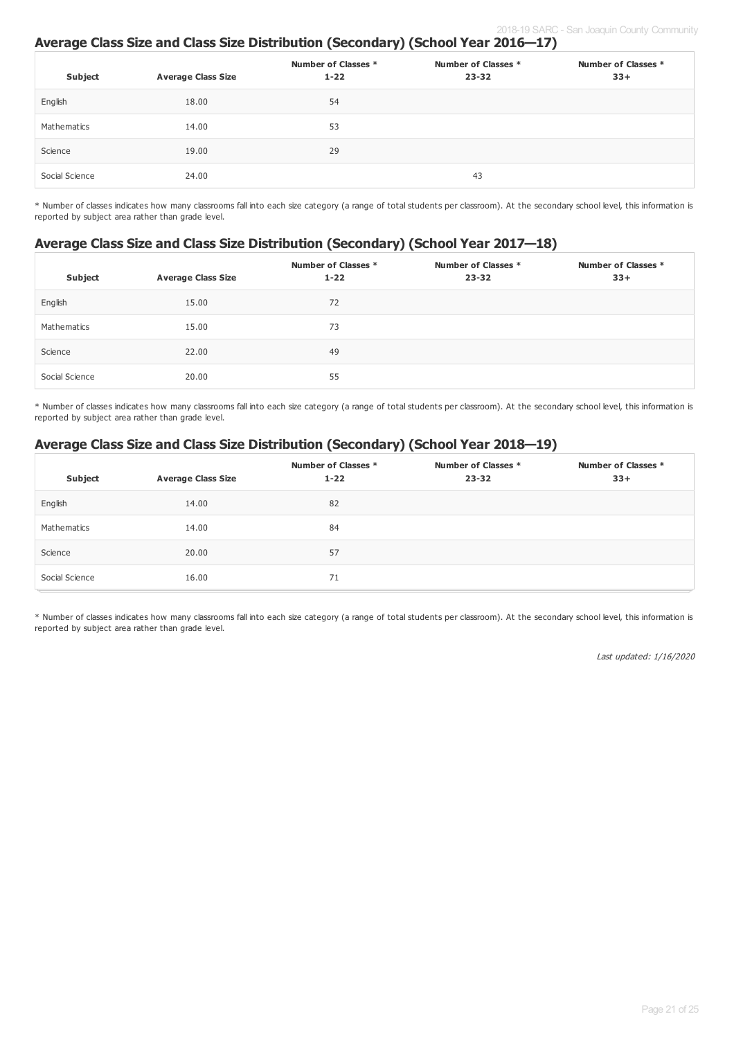### **Average Class Size and Class Size Distribution (Secondary) (School Year 2016—17)**

| Subject        | <b>Average Class Size</b> | Number of Classes *<br>$1 - 22$ | Number of Classes *<br>$23 - 32$ | Number of Classes *<br>$33+$ |
|----------------|---------------------------|---------------------------------|----------------------------------|------------------------------|
| English        | 18.00                     | 54                              |                                  |                              |
| Mathematics    | 14.00                     | 53                              |                                  |                              |
| Science        | 19.00                     | 29                              |                                  |                              |
| Social Science | 24.00                     |                                 | 43                               |                              |

\* Number of classes indicates how many classrooms fall into each size category (a range of total students per classroom). At the secondary school level, this information is reported by subject area rather than grade level.

### **Average Class Size and Class Size Distribution (Secondary) (School Year 2017—18)**

| Subject        | <b>Average Class Size</b> | Number of Classes *<br>$1 - 22$ | Number of Classes *<br>$23 - 32$ | Number of Classes *<br>$33+$ |
|----------------|---------------------------|---------------------------------|----------------------------------|------------------------------|
| English        | 15.00                     | 72                              |                                  |                              |
| Mathematics    | 15.00                     | 73                              |                                  |                              |
| Science        | 22.00                     | 49                              |                                  |                              |
| Social Science | 20.00                     | 55                              |                                  |                              |

\* Number of classes indicates how many classrooms fall into each size category (a range of total students per classroom). At the secondary school level, this information is reported by subject area rather than grade level.

### **Average Class Size and Class Size Distribution (Secondary) (School Year 2018—19)**

| Subject        | <b>Average Class Size</b> | Number of Classes *<br>$1 - 22$ | Number of Classes *<br>$23 - 32$ | Number of Classes *<br>$33+$ |
|----------------|---------------------------|---------------------------------|----------------------------------|------------------------------|
| English        | 14.00                     | 82                              |                                  |                              |
| Mathematics    | 14.00                     | 84                              |                                  |                              |
| Science        | 20.00                     | 57                              |                                  |                              |
| Social Science | 16.00                     | 71                              |                                  |                              |

\* Number of classes indicates how many classrooms fall into each size category (a range of total students per classroom). At the secondary school level, this information is reported by subject area rather than grade level.

Last updated: 1/16/2020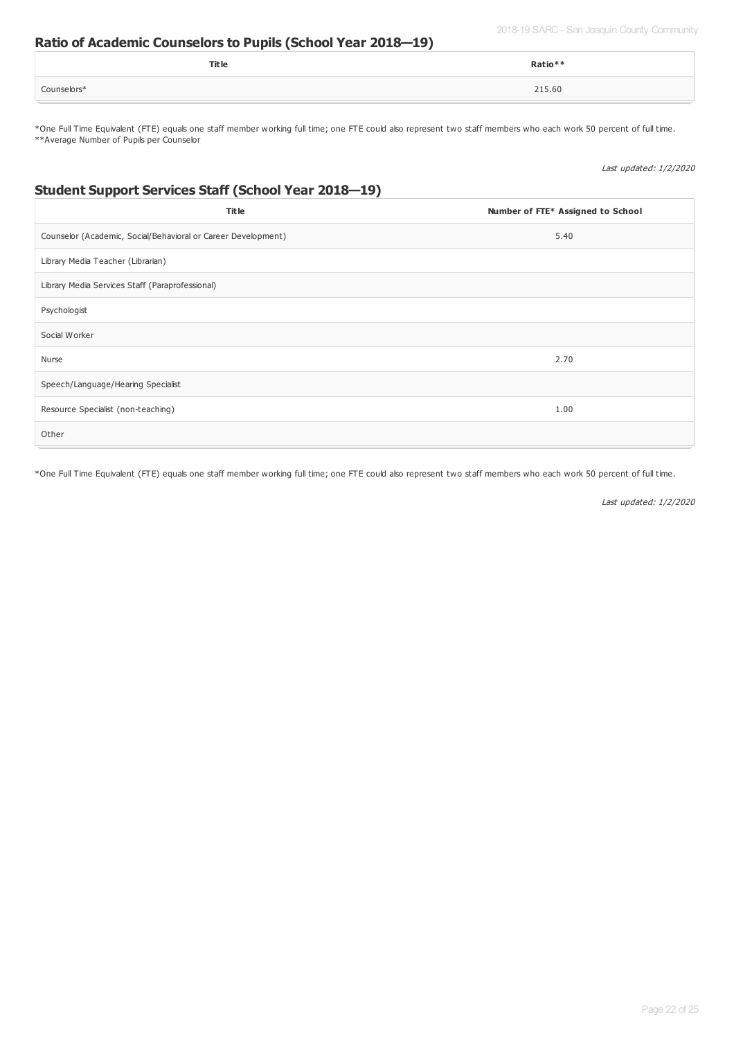2018-19 SARC - San Joaquin County Community

### **Ratio of Academic Counselors to Pupils (School Year 2018—19)**

|             | <b>Title</b> | Ratio**<br>. |
|-------------|--------------|--------------|
| Counselors* |              | 215.60       |

\*One Full Time Equivalent (FTE) equals one staff member working full time; one FTE could also represent two staff members who each work 50 percent of full time. \*\*Average Number of Pupils per Counselor

Last updated: 1/2/2020

### **Student Support Services Staff (School Year 2018—19)**

| <b>Title</b>                                                  | Number of FTE* Assigned to School |
|---------------------------------------------------------------|-----------------------------------|
| Counselor (Academic, Social/Behavioral or Career Development) | 5.40                              |
| Library Media Teacher (Librarian)                             |                                   |
| Library Media Services Staff (Paraprofessional)               |                                   |
| Psychologist                                                  |                                   |
| Social Worker                                                 |                                   |
| Nurse                                                         | 2.70                              |
| Speech/Language/Hearing Specialist                            |                                   |
| Resource Specialist (non-teaching)                            | 1.00                              |
| Other                                                         |                                   |

\*One Full Time Equivalent (FTE) equals one staff member working full time; one FTE could also represent two staff members who each work 50 percent of full time.

Last updated: 1/2/2020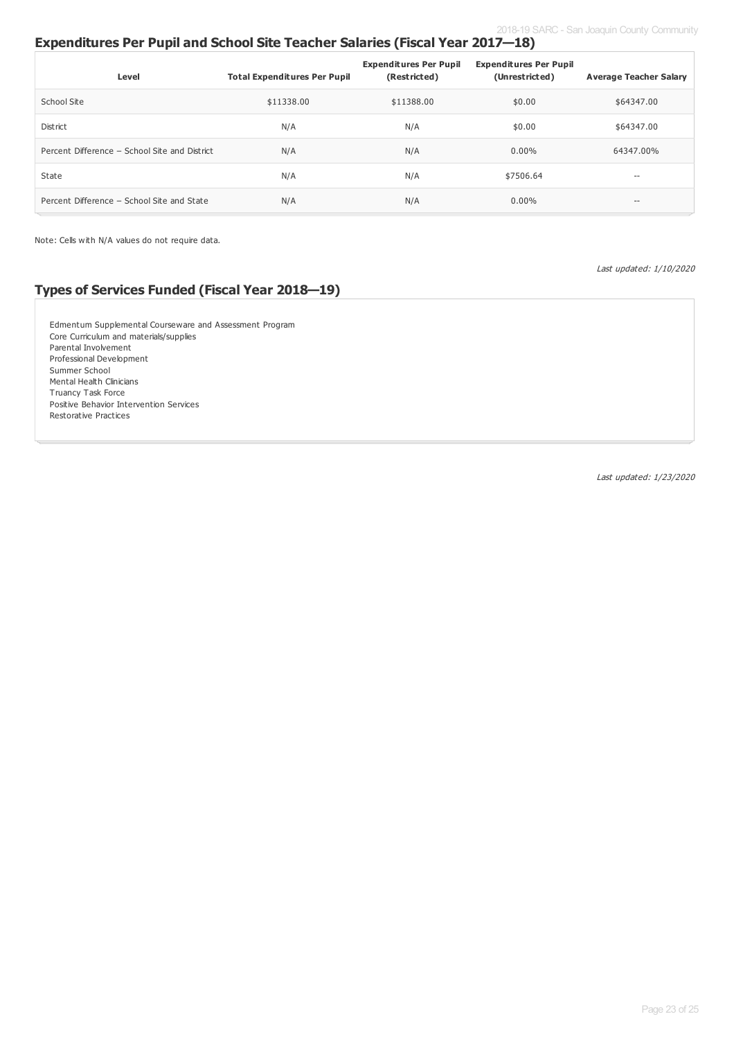## **Expenditures Per Pupil and School Site Teacher Salaries (Fiscal Year 2017—18)**

| Level                                         | <b>Total Expenditures Per Pupil</b> | <b>Expenditures Per Pupil</b><br>(Restricted) | <b>Expenditures Per Pupil</b><br>(Unrestricted) | <b>Average Teacher Salary</b>         |
|-----------------------------------------------|-------------------------------------|-----------------------------------------------|-------------------------------------------------|---------------------------------------|
| School Site                                   | \$11338.00                          | \$11388.00                                    | \$0.00                                          | \$64347.00                            |
| District                                      | N/A                                 | N/A                                           | \$0.00                                          | \$64347.00                            |
| Percent Difference - School Site and District | N/A                                 | N/A                                           | $0.00\%$                                        | 64347.00%                             |
| State                                         | N/A                                 | N/A                                           | \$7506.64                                       | $\hspace{0.05cm} -$                   |
| Percent Difference - School Site and State    | N/A                                 | N/A                                           | $0.00\%$                                        | $\hspace{0.05cm}$ – $\hspace{0.05cm}$ |

Note: Cells with N/A values do not require data.

Last updated: 1/10/2020

### **Types of Services Funded (Fiscal Year 2018—19)**

Edmentum Supplemental Courseware and Assessment Program Core Curriculum and materials/supplies Parental Involvement Professional Development Summer School Mental Health Clinicians Truancy Task Force Positive Behavior Intervention Services Restorative Practices

Last updated: 1/23/2020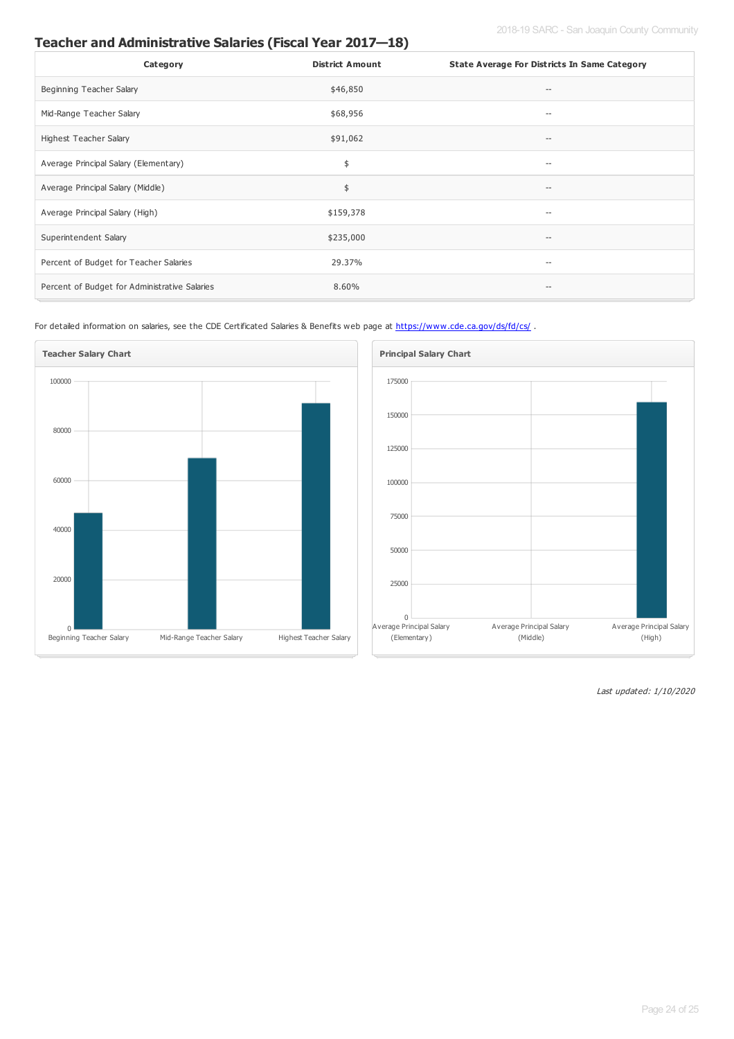## **Teacher and Administrative Salaries (Fiscal Year 2017—18)**

| Category                                      | <b>District Amount</b> | <b>State Average For Districts In Same Category</b> |
|-----------------------------------------------|------------------------|-----------------------------------------------------|
| Beginning Teacher Salary                      | \$46,850               |                                                     |
| Mid-Range Teacher Salary                      | \$68,956               | $-\!$                                               |
| Highest Teacher Salary                        | \$91,062               | $\hspace{0.05cm} -$                                 |
| Average Principal Salary (Elementary)         | \$                     | $-\!$                                               |
| Average Principal Salary (Middle)             | \$                     | $\hspace{0.05cm} -\hspace{0.05cm} -\hspace{0.05cm}$ |
| Average Principal Salary (High)               | \$159,378              | $-\!$                                               |
| Superintendent Salary                         | \$235,000              | $-\!$                                               |
| Percent of Budget for Teacher Salaries        | 29.37%                 | $-\!$                                               |
| Percent of Budget for Administrative Salaries | 8.60%                  |                                                     |

For detailed information on salaries, see the CDE Certificated Salaries & Benefits web page at <https://www.cde.ca.gov/ds/fd/cs/>.





Last updated: 1/10/2020